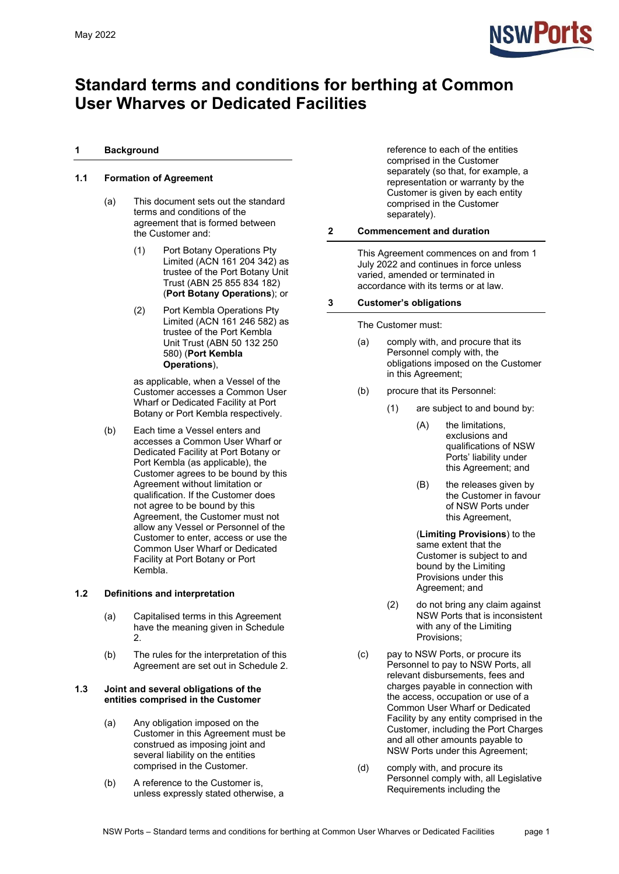

# **Standard terms and conditions for berthing at Common User Wharves or Dedicated Facilities**

# **1 Background**

# **1.1 Formation of Agreement**

- (a) This document sets out the standard terms and conditions of the agreement that is formed between the Customer and:
	- (1) Port Botany Operations Pty Limited (ACN 161 204 342) as trustee of the Port Botany Unit Trust (ABN 25 855 834 182) (**Port Botany Operations**); or
	- (2) Port Kembla Operations Pty Limited (ACN 161 246 582) as trustee of the Port Kembla Unit Trust (ABN 50 132 250 580) (**Port Kembla Operations**),

as applicable, when a Vessel of the Customer accesses a Common User Wharf or Dedicated Facility at Port Botany or Port Kembla respectively.

(b) Each time a Vessel enters and accesses a Common User Wharf or Dedicated Facility at Port Botany or Port Kembla (as applicable), the Customer agrees to be bound by this Agreement without limitation or qualification. If the Customer does not agree to be bound by this Agreement, the Customer must not allow any Vessel or Personnel of the Customer to enter, access or use the Common User Wharf or Dedicated Facility at Port Botany or Port Kembla.

# **1.2 Definitions and interpretation**

- (a) Capitalised terms in this Agreement have the meaning given in [Schedule](#page-21-0)  [2.](#page-21-0)
- (b) The rules for the interpretation of this Agreement are set out in [Schedule 2.](#page-21-0)

#### **1.3 Joint and several obligations of the entities comprised in the Customer**

- (a) Any obligation imposed on the Customer in this Agreement must be construed as imposing joint and several liability on the entities comprised in the Customer.
- (b) A reference to the Customer is, unless expressly stated otherwise, a

reference to each of the entities comprised in the Customer separately (so that, for example, a representation or warranty by the Customer is given by each entity comprised in the Customer separately).

# **2 Commencement and duration**

This Agreement commences on and from 1 July 2022 and continues in force unless varied, amended or terminated in accordance with its terms or at law.

# **3 Customer's obligations**

The Customer must:

- (a) comply with, and procure that its Personnel comply with, the obligations imposed on the Customer in this Agreement;
- <span id="page-0-0"></span>(b) procure that its Personnel:
	- (1) are subject to and bound by:
		- (A) the limitations, exclusions and qualifications of NSW Ports' liability under this Agreement; and
		- (B) the releases given by the Customer in favour of NSW Ports under this Agreement,
		- (**Limiting Provisions**) to the same extent that the Customer is subject to and bound by the Limiting Provisions under this Agreement; and
	- (2) do not bring any claim against NSW Ports that is inconsistent with any of the Limiting Provisions;
- (c) pay to NSW Ports, or procure its Personnel to pay to NSW Ports, all relevant disbursements, fees and charges payable in connection with the access, occupation or use of a Common User Wharf or Dedicated Facility by any entity comprised in the Customer, including the Port Charges and all other amounts payable to NSW Ports under this Agreement;
- (d) comply with, and procure its Personnel comply with, all Legislative Requirements including the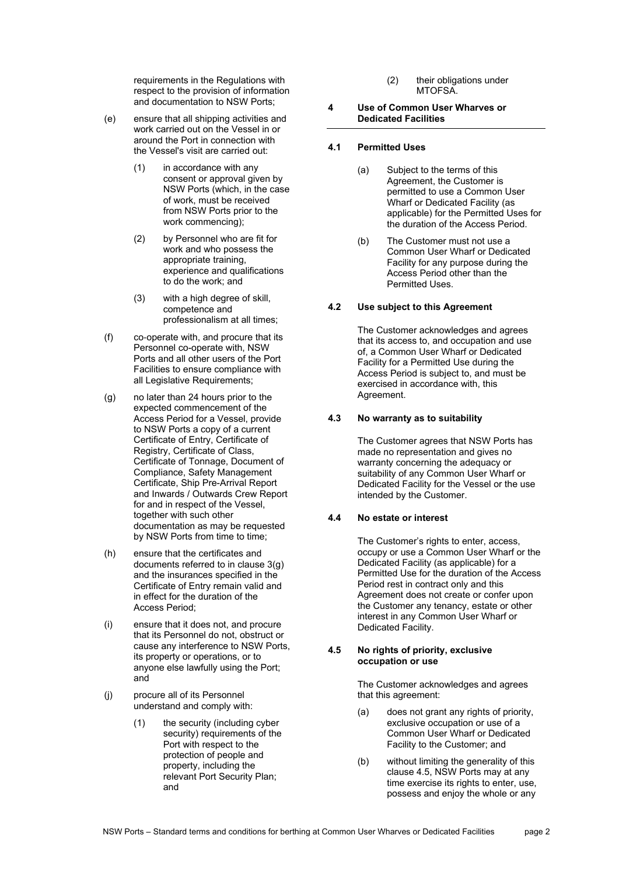requirements in the Regulations with respect to the provision of information and documentation to NSW Ports;

- (e) ensure that all shipping activities and work carried out on the Vessel in or around the Port in connection with the Vessel's visit are carried out:
	- (1) in accordance with any consent or approval given by NSW Ports (which, in the case of work, must be received from NSW Ports prior to the work commencing);
	- (2) by Personnel who are fit for work and who possess the appropriate training, experience and qualifications to do the work; and
	- (3) with a high degree of skill, competence and professionalism at all times;
- (f) co‐operate with, and procure that its Personnel co-operate with, NSW Ports and all other users of the Port Facilities to ensure compliance with all Legislative Requirements;
- <span id="page-1-0"></span>(g) no later than 24 hours prior to the expected commencement of the Access Period for a Vessel, provide to NSW Ports a copy of a current Certificate of Entry, Certificate of Registry, Certificate of Class, Certificate of Tonnage, Document of Compliance, Safety Management Certificate, Ship Pre-Arrival Report and Inwards / Outwards Crew Report for and in respect of the Vessel, together with such other documentation as may be requested by NSW Ports from time to time;
- <span id="page-1-2"></span>(h) ensure that the certificates and documents referred to in clause [3\(g\)](#page-1-0) and the insurances specified in the Certificate of Entry remain valid and in effect for the duration of the Access Period;
- (i) ensure that it does not, and procure that its Personnel do not, obstruct or cause any interference to NSW Ports, its property or operations, or to anyone else lawfully using the Port; and
- (j) procure all of its Personnel understand and comply with:
	- (1) the security (including cyber security) requirements of the Port with respect to the protection of people and property, including the relevant Port Security Plan; and
- (2) their obligations under MTOFSA.
- **4 Use of Common User Wharves or Dedicated Facilities**

# **4.1 Permitted Uses**

- (a) Subject to the terms of this Agreement, the Customer is permitted to use a Common User Wharf or Dedicated Facility (as applicable) for the Permitted Uses for the duration of the Access Period.
- (b) The Customer must not use a Common User Wharf or Dedicated Facility for any purpose during the Access Period other than the Permitted Uses.

# **4.2 Use subject to this Agreement**

The Customer acknowledges and agrees that its access to, and occupation and use of, a Common User Wharf or Dedicated Facility for a Permitted Use during the Access Period is subject to, and must be exercised in accordance with, this Agreement.

## **4.3 No warranty as to suitability**

The Customer agrees that NSW Ports has made no representation and gives no warranty concerning the adequacy or suitability of any Common User Wharf or Dedicated Facility for the Vessel or the use intended by the Customer.

# **4.4 No estate or interest**

The Customer's rights to enter, access, occupy or use a Common User Wharf or the Dedicated Facility (as applicable) for a Permitted Use for the duration of the Access Period rest in contract only and this Agreement does not create or confer upon the Customer any tenancy, estate or other interest in any Common User Wharf or Dedicated Facility.

# <span id="page-1-1"></span>**4.5 No rights of priority, exclusive occupation or use**

The Customer acknowledges and agrees that this agreement:

- (a) does not grant any rights of priority, exclusive occupation or use of a Common User Wharf or Dedicated Facility to the Customer; and
- (b) without limiting the generality of this clause [4.5,](#page-1-1) NSW Ports may at any time exercise its rights to enter, use, possess and enjoy the whole or any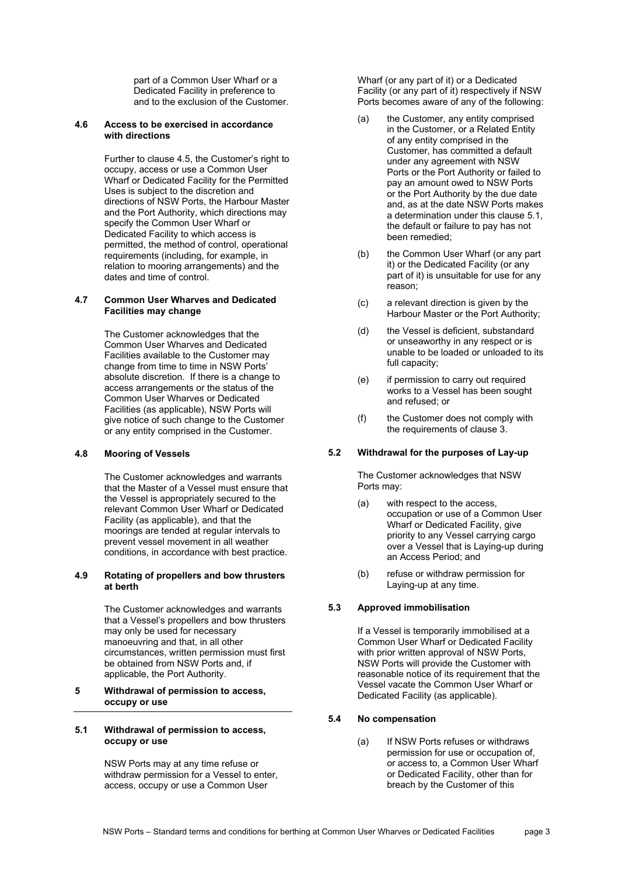part of a Common User Wharf or a Dedicated Facility in preference to and to the exclusion of the Customer.

# **4.6 Access to be exercised in accordance with directions**

Further to clause 4.5, the Customer's right to occupy, access or use a Common User Wharf or Dedicated Facility for the Permitted Uses is subject to the discretion and directions of NSW Ports, the Harbour Master and the Port Authority, which directions may specify the Common User Wharf or Dedicated Facility to which access is permitted, the method of control, operational requirements (including, for example, in relation to mooring arrangements) and the dates and time of control.

# **4.7 Common User Wharves and Dedicated Facilities may change**

The Customer acknowledges that the Common User Wharves and Dedicated Facilities available to the Customer may change from time to time in NSW Ports' absolute discretion. If there is a change to access arrangements or the status of the Common User Wharves or Dedicated Facilities (as applicable), NSW Ports will give notice of such change to the Customer or any entity comprised in the Customer.

#### **4.8 Mooring of Vessels**

The Customer acknowledges and warrants that the Master of a Vessel must ensure that the Vessel is appropriately secured to the relevant Common User Wharf or Dedicated Facility (as applicable), and that the moorings are tended at regular intervals to prevent vessel movement in all weather conditions, in accordance with best practice.

#### **4.9 Rotating of propellers and bow thrusters at berth**

The Customer acknowledges and warrants that a Vessel's propellers and bow thrusters may only be used for necessary manoeuvring and that, in all other circumstances, written permission must first be obtained from NSW Ports and, if applicable, the Port Authority.

# **5 Withdrawal of permission to access, occupy or use**

#### <span id="page-2-0"></span>**5.1 Withdrawal of permission to access, occupy or use**

NSW Ports may at any time refuse or withdraw permission for a Vessel to enter, access, occupy or use a Common User

Wharf (or any part of it) or a Dedicated Facility (or any part of it) respectively if NSW Ports becomes aware of any of the following:

- (a) the Customer, any entity comprised in the Customer, or a Related Entity of any entity comprised in the Customer, has committed a default under any agreement with NSW Ports or the Port Authority or failed to pay an amount owed to NSW Ports or the Port Authority by the due date and, as at the date NSW Ports makes a determination under this clause [5.1,](#page-2-0) the default or failure to pay has not been remedied;
- (b) the Common User Wharf (or any part it) or the Dedicated Facility (or any part of it) is unsuitable for use for any reason;
- (c) a relevant direction is given by the Harbour Master or the Port Authority;
- (d) the Vessel is deficient, substandard or unseaworthy in any respect or is unable to be loaded or unloaded to its full capacity;
- (e) if permission to carry out required works to a Vessel has been sought and refused; or
- (f) the Customer does not comply with the requirements of clause 3.

# **5.2 Withdrawal for the purposes of Lay-up**

The Customer acknowledges that NSW Ports may:

- (a) with respect to the access, occupation or use of a Common User Wharf or Dedicated Facility, give priority to any Vessel carrying cargo over a Vessel that is Laying-up during an Access Period; and
- (b) refuse or withdraw permission for Laying-up at any time.

# **5.3 Approved immobilisation**

If a Vessel is temporarily immobilised at a Common User Wharf or Dedicated Facility with prior written approval of NSW Ports, NSW Ports will provide the Customer with reasonable notice of its requirement that the Vessel vacate the Common User Wharf or Dedicated Facility (as applicable).

# <span id="page-2-1"></span>**5.4 No compensation**

(a) If NSW Ports refuses or withdraws permission for use or occupation of, or access to, a Common User Wharf or Dedicated Facility, other than for breach by the Customer of this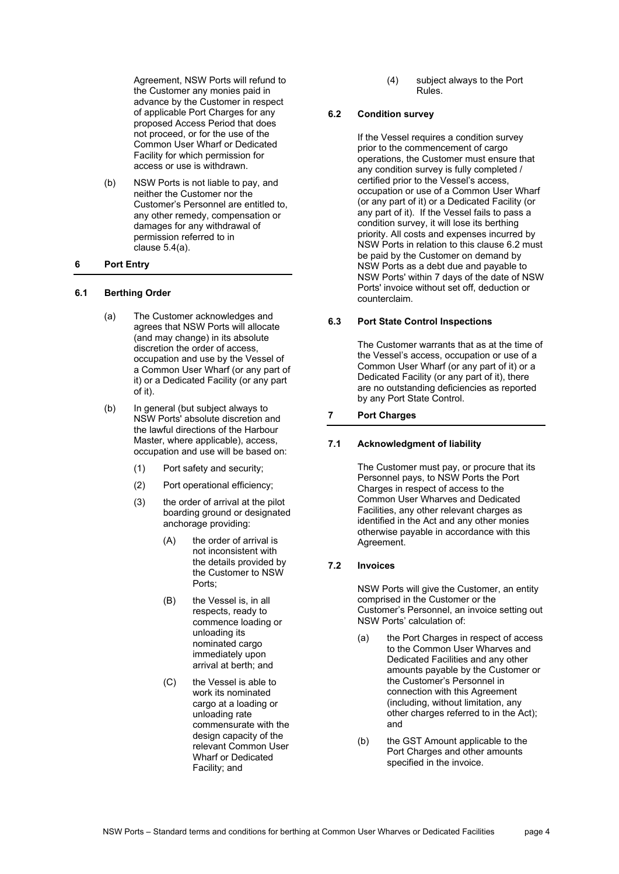Agreement, NSW Ports will refund to the Customer any monies paid in advance by the Customer in respect of applicable Port Charges for any proposed Access Period that does not proceed, or for the use of the Common User Wharf or Dedicated Facility for which permission for access or use is withdrawn.

(b) NSW Ports is not liable to pay, and neither the Customer nor the Customer's Personnel are entitled to, any other remedy, compensation or damages for any withdrawal of permission referred to in clause [5.4\(a\).](#page-2-1)

# <span id="page-3-1"></span>**6 Port Entry**

#### **6.1 Berthing Order**

- (a) The Customer acknowledges and agrees that NSW Ports will allocate (and may change) in its absolute discretion the order of access, occupation and use by the Vessel of a Common User Wharf (or any part of it) or a Dedicated Facility (or any part of it).
- (b) In general (but subject always to NSW Ports' absolute discretion and the lawful directions of the Harbour Master, where applicable), access, occupation and use will be based on:
	- (1) Port safety and security;
	- (2) Port operational efficiency;
	- (3) the order of arrival at the pilot boarding ground or designated anchorage providing:
		- (A) the order of arrival is not inconsistent with the details provided by the Customer to NSW Ports;
		- (B) the Vessel is, in all respects, ready to commence loading or unloading its nominated cargo immediately upon arrival at berth; and
		- (C) the Vessel is able to work its nominated cargo at a loading or unloading rate commensurate with the design capacity of the relevant Common User Wharf or Dedicated Facility; and

(4) subject always to the Port Rules.

## <span id="page-3-0"></span>**6.2 Condition survey**

If the Vessel requires a condition survey prior to the commencement of cargo operations, the Customer must ensure that any condition survey is fully completed / certified prior to the Vessel's access, occupation or use of a Common User Wharf (or any part of it) or a Dedicated Facility (or any part of it). If the Vessel fails to pass a condition survey, it will lose its berthing priority. All costs and expenses incurred by NSW Ports in relation to this claus[e 6.2](#page-3-0) must be paid by the Customer on demand by NSW Ports as a debt due and payable to NSW Ports' within 7 days of the date of NSW Ports' invoice without set off, deduction or counterclaim.

# **6.3 Port State Control Inspections**

The Customer warrants that as at the time of the Vessel's access, occupation or use of a Common User Wharf (or any part of it) or a Dedicated Facility (or any part of it), there are no outstanding deficiencies as reported by any Port State Control.

# <span id="page-3-2"></span>**7 Port Charges**

#### **7.1 Acknowledgment of liability**

The Customer must pay, or procure that its Personnel pays, to NSW Ports the Port Charges in respect of access to the Common User Wharves and Dedicated Facilities, any other relevant charges as identified in the Act and any other monies otherwise payable in accordance with this Agreement.

#### **7.2 Invoices**

NSW Ports will give the Customer, an entity comprised in the Customer or the Customer's Personnel, an invoice setting out NSW Ports' calculation of:

- (a) the Port Charges in respect of access to the Common User Wharves and Dedicated Facilities and any other amounts payable by the Customer or the Customer's Personnel in connection with this Agreement (including, without limitation, any other charges referred to in the Act); and
- (b) the GST Amount applicable to the Port Charges and other amounts specified in the invoice.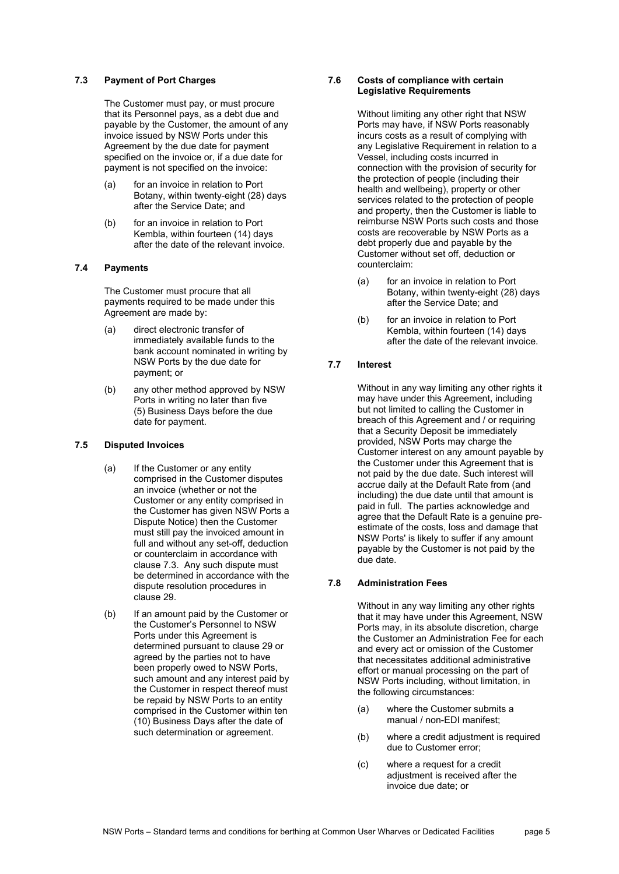### **7.3 Payment of Port Charges**

The Customer must pay, or must procure that its Personnel pays, as a debt due and payable by the Customer, the amount of any invoice issued by NSW Ports under this Agreement by the due date for payment specified on the invoice or, if a due date for payment is not specified on the invoice:

- (a) for an invoice in relation to Port Botany, within twenty-eight (28) days after the Service Date; and
- (b) for an invoice in relation to Port Kembla, within fourteen (14) days after the date of the relevant invoice.

# **7.4 Payments**

The Customer must procure that all payments required to be made under this Agreement are made by:

- (a) direct electronic transfer of immediately available funds to the bank account nominated in writing by NSW Ports by the due date for payment; or
- (b) any other method approved by NSW Ports in writing no later than five (5) Business Days before the due date for payment.

#### **7.5 Disputed Invoices**

- (a) If the Customer or any entity comprised in the Customer disputes an invoice (whether or not the Customer or any entity comprised in the Customer has given NSW Ports a Dispute Notice) then the Customer must still pay the invoiced amount in full and without any set-off, deduction or counterclaim in accordance with clause 7.3. Any such dispute must be determined in accordance with the dispute resolution procedures in clause 29.
- (b) If an amount paid by the Customer or the Customer's Personnel to NSW Ports under this Agreement is determined pursuant to clause [29](#page-18-0) or agreed by the parties not to have been properly owed to NSW Ports, such amount and any interest paid by the Customer in respect thereof must be repaid by NSW Ports to an entity comprised in the Customer within ten (10) Business Days after the date of such determination or agreement.

# **7.6 Costs of compliance with certain Legislative Requirements**

Without limiting any other right that NSW Ports may have, if NSW Ports reasonably incurs costs as a result of complying with any Legislative Requirement in relation to a Vessel, including costs incurred in connection with the provision of security for the protection of people (including their health and wellbeing), property or other services related to the protection of people and property, then the Customer is liable to reimburse NSW Ports such costs and those costs are recoverable by NSW Ports as a debt properly due and payable by the Customer without set off, deduction or counterclaim:

- (a) for an invoice in relation to Port Botany, within twenty-eight (28) days after the Service Date; and
- (b) for an invoice in relation to Port Kembla, within fourteen (14) days after the date of the relevant invoice.

# <span id="page-4-0"></span>**7.7 Interest**

Without in any way limiting any other rights it may have under this Agreement, including but not limited to calling the Customer in breach of this Agreement and / or requiring that a Security Deposit be immediately provided, NSW Ports may charge the Customer interest on any amount payable by the Customer under this Agreement that is not paid by the due date. Such interest will accrue daily at the Default Rate from (and including) the due date until that amount is paid in full. The parties acknowledge and agree that the Default Rate is a genuine preestimate of the costs, loss and damage that NSW Ports' is likely to suffer if any amount payable by the Customer is not paid by the due date.

#### **7.8 Administration Fees**

Without in any way limiting any other rights that it may have under this Agreement, NSW Ports may, in its absolute discretion, charge the Customer an Administration Fee for each and every act or omission of the Customer that necessitates additional administrative effort or manual processing on the part of NSW Ports including, without limitation, in the following circumstances:

- (a) where the Customer submits a manual / non-EDI manifest;
- (b) where a credit adjustment is required due to Customer error;
- (c) where a request for a credit adiustment is received after the invoice due date; or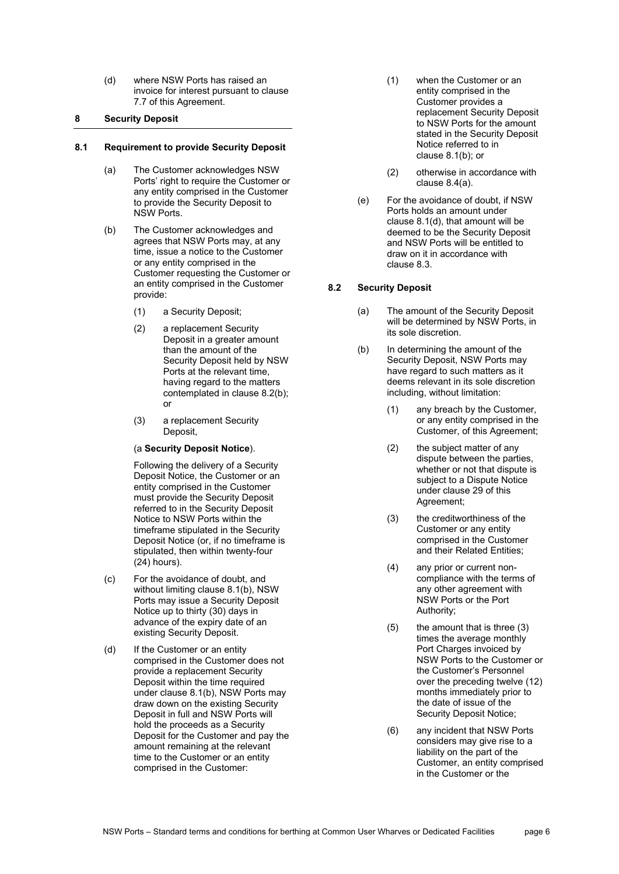(d) where NSW Ports has raised an invoice for interest pursuant to clause 7.7 of this Agreement.

## **8 Security Deposit**

## <span id="page-5-3"></span>**8.1 Requirement to provide Security Deposit**

- (a) The Customer acknowledges NSW Ports' right to require the Customer or any entity comprised in the Customer to provide the Security Deposit to NSW Ports.
- <span id="page-5-4"></span><span id="page-5-1"></span>(b) The Customer acknowledges and agrees that NSW Ports may, at any time, issue a notice to the Customer or any entity comprised in the Customer requesting the Customer or an entity comprised in the Customer provide:
	- (1) a Security Deposit;
	- (2) a replacement Security Deposit in a greater amount than the amount of the Security Deposit held by NSW Ports at the relevant time, having regard to the matters contemplated in clause [8.2\(b\);](#page-5-0) or
	- (3) a replacement Security Deposit,

## (a **Security Deposit Notice**).

Following the delivery of a Security Deposit Notice, the Customer or an entity comprised in the Customer must provide the Security Deposit referred to in the Security Deposit Notice to NSW Ports within the timeframe stipulated in the Security Deposit Notice (or, if no timeframe is stipulated, then within twenty-four (24) hours).

- (c) For the avoidance of doubt, and without limiting clause [8.1\(b\),](#page-5-1) NSW Ports may issue a Security Deposit Notice up to thirty (30) days in advance of the expiry date of an existing Security Deposit.
- <span id="page-5-2"></span>(d) If the Customer or an entity comprised in the Customer does not provide a replacement Security Deposit within the time required under clause [8.1\(b\),](#page-5-1) NSW Ports may draw down on the existing Security Deposit in full and NSW Ports will hold the proceeds as a Security Deposit for the Customer and pay the amount remaining at the relevant time to the Customer or an entity comprised in the Customer:
- (1) when the Customer or an entity comprised in the Customer provides a replacement Security Deposit to NSW Ports for the amount stated in the Security Deposit Notice referred to in clause [8.1\(b\);](#page-5-1) or
- (2) otherwise in accordance with clause [8.4\(a\).](#page-6-0)
- (e) For the avoidance of doubt, if NSW Ports holds an amount under clause [8.1\(d\),](#page-5-2) that amount will be deemed to be the Security Deposit and NSW Ports will be entitled to draw on it in accordance with clause [8.3.](#page-6-1)

# **8.2 Security Deposit**

- (a) The amount of the Security Deposit will be determined by NSW Ports, in its sole discretion.
- <span id="page-5-0"></span>(b) In determining the amount of the Security Deposit, NSW Ports may have regard to such matters as it deems relevant in its sole discretion including, without limitation:
	- (1) any breach by the Customer, or any entity comprised in the Customer, of this Agreement;
	- (2) the subject matter of any dispute between the parties, whether or not that dispute is subject to a Dispute Notice under clause 29 of this Agreement;
	- (3) the creditworthiness of the Customer or any entity comprised in the Customer and their Related Entities;
	- (4) any prior or current noncompliance with the terms of any other agreement with NSW Ports or the Port Authority;
	- (5) the amount that is three (3) times the average monthly Port Charges invoiced by NSW Ports to the Customer or the Customer's Personnel over the preceding twelve (12) months immediately prior to the date of issue of the Security Deposit Notice;
	- (6) any incident that NSW Ports considers may give rise to a liability on the part of the Customer, an entity comprised in the Customer or the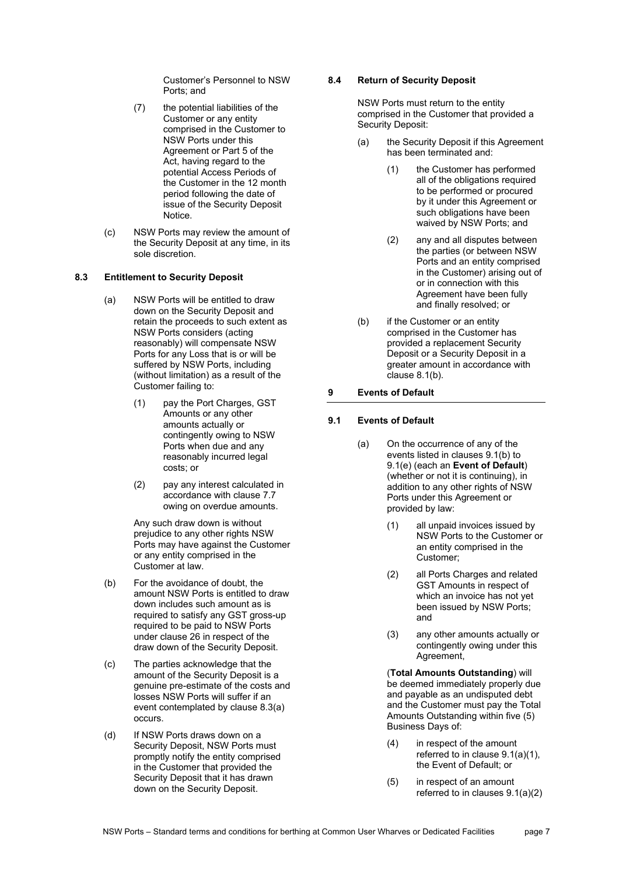Customer's Personnel to NSW Ports; and

- (7) the potential liabilities of the Customer or any entity comprised in the Customer to NSW Ports under this Agreement or Part 5 of the Act, having regard to the potential Access Periods of the Customer in the 12 month period following the date of issue of the Security Deposit Notice.
- (c) NSW Ports may review the amount of the Security Deposit at any time, in its sole discretion.

# <span id="page-6-2"></span><span id="page-6-1"></span>**8.3 Entitlement to Security Deposit**

- (a) NSW Ports will be entitled to draw down on the Security Deposit and retain the proceeds to such extent as NSW Ports considers (acting reasonably) will compensate NSW Ports for any Loss that is or will be suffered by NSW Ports, including (without limitation) as a result of the Customer failing to:
	- (1) pay the Port Charges, GST Amounts or any other amounts actually or contingently owing to NSW Ports when due and any reasonably incurred legal costs; or
	- (2) pay any interest calculated in accordance with clause [7.7](#page-4-0) owing on overdue amounts.

Any such draw down is without prejudice to any other rights NSW Ports may have against the Customer or any entity comprised in the Customer at law.

- (b) For the avoidance of doubt, the amount NSW Ports is entitled to draw down includes such amount as is required to satisfy any GST gross-up required to be paid to NSW Ports under clause [26](#page-17-0) in respect of the draw down of the Security Deposit.
- (c) The parties acknowledge that the amount of the Security Deposit is a genuine pre-estimate of the costs and losses NSW Ports will suffer if an event contemplated by clause [8.3\(a\)](#page-6-2) occurs.
- (d) If NSW Ports draws down on a Security Deposit, NSW Ports must promptly notify the entity comprised in the Customer that provided the Security Deposit that it has drawn down on the Security Deposit.

# **8.4 Return of Security Deposit**

NSW Ports must return to the entity comprised in the Customer that provided a Security Deposit:

- <span id="page-6-0"></span>(a) the Security Deposit if this Agreement has been terminated and:
	- (1) the Customer has performed all of the obligations required to be performed or procured by it under this Agreement or such obligations have been waived by NSW Ports; and
	- (2) any and all disputes between the parties (or between NSW Ports and an entity comprised in the Customer) arising out of or in connection with this Agreement have been fully and finally resolved; or
- (b) if the Customer or an entity comprised in the Customer has provided a replacement Security Deposit or a Security Deposit in a greater amount in accordance with clause [8.1\(b\).](#page-5-1)

# **9 Events of Default**

# <span id="page-6-6"></span>**9.1 Events of Default**

- <span id="page-6-3"></span>(a) On the occurrence of any of the events listed in clauses [9.1\(b\)](#page-7-0) to [9.1\(e\)](#page-7-1) (each an **Event of Default**) (whether or not it is continuing), in addition to any other rights of NSW Ports under this Agreement or provided by law:
	- (1) all unpaid invoices issued by NSW Ports to the Customer or an entity comprised in the Customer;
	- (2) all Ports Charges and related GST Amounts in respect of which an invoice has not yet been issued by NSW Ports; and
	- (3) any other amounts actually or contingently owing under this Agreement.

<span id="page-6-5"></span><span id="page-6-4"></span>(**Total Amounts Outstanding**) will be deemed immediately properly due and payable as an undisputed debt and the Customer must pay the Total Amounts Outstanding within five (5) Business Days of:

- (4) in respect of the amount referred to in clause [9.1\(a\)\(1\),](#page-6-3)  the Event of Default; or
- (5) in respect of an amount referred to in clauses [9.1\(a\)\(2\)](#page-6-4)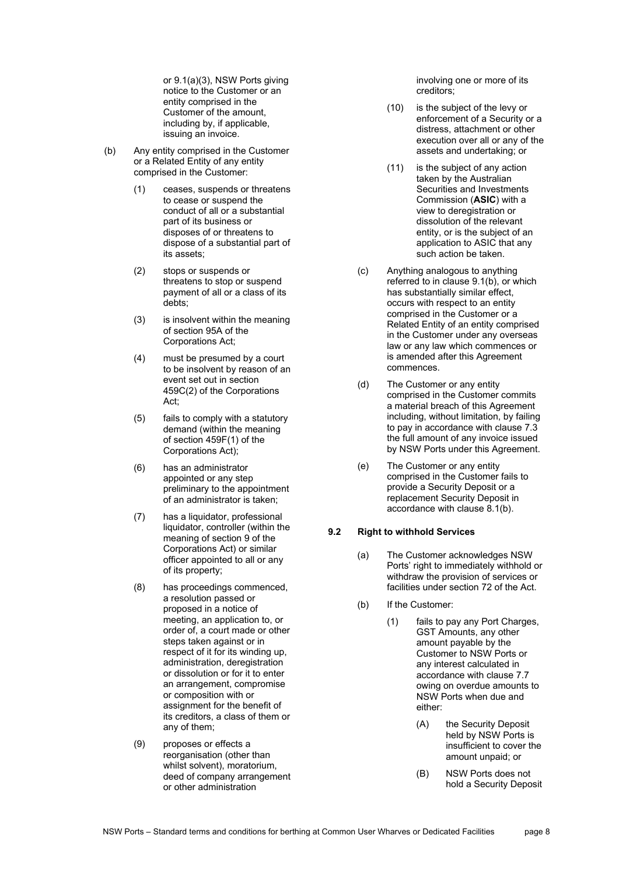o[r 9.1\(a\)\(3\),](#page-6-5) NSW Ports giving notice to the Customer or an entity comprised in the Customer of the amount, including by, if applicable, issuing an invoice.

- <span id="page-7-0"></span>(b) Any entity comprised in the Customer or a Related Entity of any entity comprised in the Customer:
	- (1) ceases, suspends or threatens to cease or suspend the conduct of all or a substantial part of its business or disposes of or threatens to dispose of a substantial part of its assets;
	- (2) stops or suspends or threatens to stop or suspend payment of all or a class of its debts;
	- (3) is insolvent within the meaning of section 95A of the Corporations Act;
	- (4) must be presumed by a court to be insolvent by reason of an event set out in section 459C(2) of the Corporations Act;
	- (5) fails to comply with a statutory demand (within the meaning of section 459F(1) of the Corporations Act);
	- (6) has an administrator appointed or any step preliminary to the appointment of an administrator is taken;
	- (7) has a liquidator, professional liquidator, controller (within the meaning of section 9 of the Corporations Act) or similar officer appointed to all or any of its property;
	- (8) has proceedings commenced, a resolution passed or proposed in a notice of meeting, an application to, or order of, a court made or other steps taken against or in respect of it for its winding up, administration, deregistration or dissolution or for it to enter an arrangement, compromise or composition with or assignment for the benefit of its creditors, a class of them or any of them;
	- (9) proposes or effects a reorganisation (other than whilst solvent), moratorium, deed of company arrangement or other administration

involving one or more of its creditors;

- (10) is the subject of the levy or enforcement of a Security or a distress, attachment or other execution over all or any of the assets and undertaking; or
- (11) is the subject of any action taken by the Australian Securities and Investments Commission (**ASIC**) with a view to deregistration or dissolution of the relevant entity, or is the subject of an application to ASIC that any such action be taken.
- (c) Anything analogous to anything referred to in clause [9.1\(b\),](#page-7-0) or which has substantially similar effect, occurs with respect to an entity comprised in the Customer or a Related Entity of an entity comprised in the Customer under any overseas law or any law which commences or is amended after this Agreement commences.
- (d) The Customer or any entity comprised in the Customer commits a material breach of this Agreement including, without limitation, by failing to pay in accordance with clause 7.3 the full amount of any invoice issued by NSW Ports under this Agreement.
- <span id="page-7-1"></span>(e) The Customer or any entity comprised in the Customer fails to provide a Security Deposit or a replacement Security Deposit in accordance with clause [8.1\(b\).](#page-5-1)

# **9.2 Right to withhold Services**

- (a) The Customer acknowledges NSW Ports' right to immediately withhold or withdraw the provision of services or facilities under section 72 of the Act.
- (b) If the Customer:
	- (1) fails to pay any Port Charges, GST Amounts, any other amount payable by the Customer to NSW Ports or any interest calculated in accordance with clause [7.7](#page-4-0) owing on overdue amounts to NSW Ports when due and either:
		- (A) the Security Deposit held by NSW Ports is insufficient to cover the amount unpaid; or
		- (B) NSW Ports does not hold a Security Deposit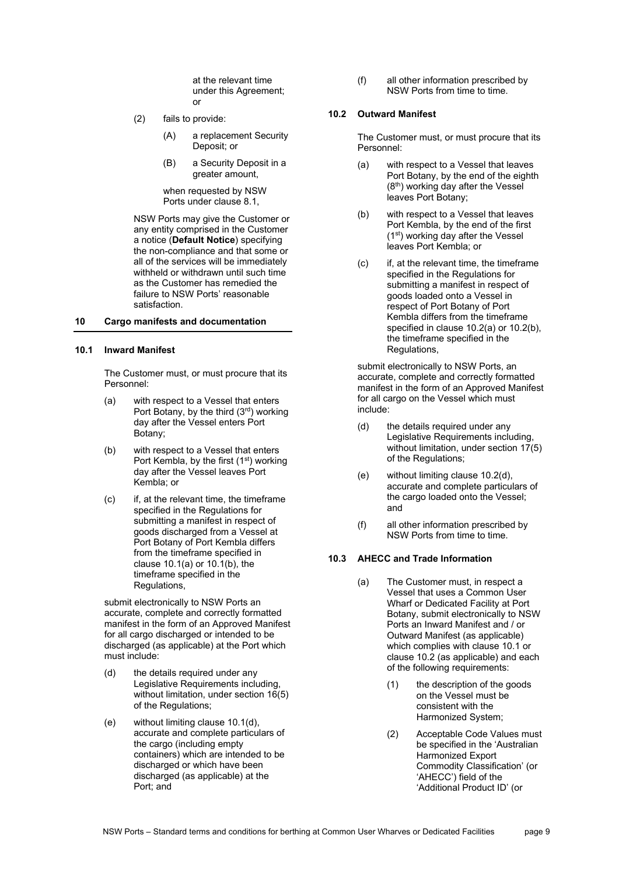at the relevant time under this Agreement; or

- (2) fails to provide:
	- (A) a replacement Security Deposit; or
	- (B) a Security Deposit in a greater amount,

when requested by NSW Ports under clause [8.1,](#page-5-3)

NSW Ports may give the Customer or any entity comprised in the Customer a notice (**Default Notice**) specifying the non-compliance and that some or all of the services will be immediately withheld or withdrawn until such time as the Customer has remedied the failure to NSW Ports' reasonable satisfaction.

# **10 Cargo manifests and documentation**

# <span id="page-8-6"></span>**10.1 Inward Manifest**

The Customer must, or must procure that its Personnel:

- <span id="page-8-0"></span>(a) with respect to a Vessel that enters Port Botany, by the third (3rd) working day after the Vessel enters Port Botany;
- <span id="page-8-1"></span>(b) with respect to a Vessel that enters Port Kembla, by the first (1<sup>st</sup>) working day after the Vessel leaves Port Kembla; or
- (c) if, at the relevant time, the timeframe specified in the Regulations for submitting a manifest in respect of goods discharged from a Vessel at Port Botany of Port Kembla differs from the timeframe specified in clause [10.1\(a\)](#page-8-0) o[r 10.1\(b\),](#page-8-1) the timeframe specified in the Regulations,

submit electronically to NSW Ports an accurate, complete and correctly formatted manifest in the form of an Approved Manifest for all cargo discharged or intended to be discharged (as applicable) at the Port which must include:

- <span id="page-8-2"></span>(d) the details required under any Legislative Requirements including, without limitation, under section 16(5) of the Regulations;
- (e) without limiting clause [10.1\(d\),](#page-8-2)  accurate and complete particulars of the cargo (including empty containers) which are intended to be discharged or which have been discharged (as applicable) at the Port; and

(f) all other information prescribed by NSW Ports from time to time.

# <span id="page-8-7"></span>**10.2 Outward Manifest**

The Customer must, or must procure that its Personnel:

- <span id="page-8-3"></span>(a) with respect to a Vessel that leaves Port Botany, by the end of the eighth  $(8<sup>th</sup>)$  working day after the Vessel leaves Port Botany;
- <span id="page-8-4"></span>(b) with respect to a Vessel that leaves Port Kembla, by the end of the first (1st) working day after the Vessel leaves Port Kembla; or
- (c) if, at the relevant time, the timeframe specified in the Regulations for submitting a manifest in respect of goods loaded onto a Vessel in respect of Port Botany of Port Kembla differs from the timeframe specified in clause [10.2\(a\)](#page-8-3) or [10.2\(b\),](#page-8-4)  the timeframe specified in the Regulations,

submit electronically to NSW Ports, an accurate, complete and correctly formatted manifest in the form of an Approved Manifest for all cargo on the Vessel which must include:

- <span id="page-8-5"></span>(d) the details required under any Legislative Requirements including, without limitation, under section 17(5) of the Regulations;
- (e) without limiting clause [10.2\(d\),](#page-8-5) accurate and complete particulars of the cargo loaded onto the Vessel; and
- (f) all other information prescribed by NSW Ports from time to time.

# **10.3 AHECC and Trade Information**

- (a) The Customer must, in respect a Vessel that uses a Common User Wharf or Dedicated Facility at Port Botany, submit electronically to NSW Ports an Inward Manifest and / or Outward Manifest (as applicable) which complies with clause [10.1](#page-8-6) or clause [10.2](#page-8-7) (as applicable) and each of the following requirements:
	- (1) the description of the goods on the Vessel must be consistent with the Harmonized System;
	- (2) Acceptable Code Values must be specified in the 'Australian Harmonized Export Commodity Classification' (or 'AHECC') field of the 'Additional Product ID' (or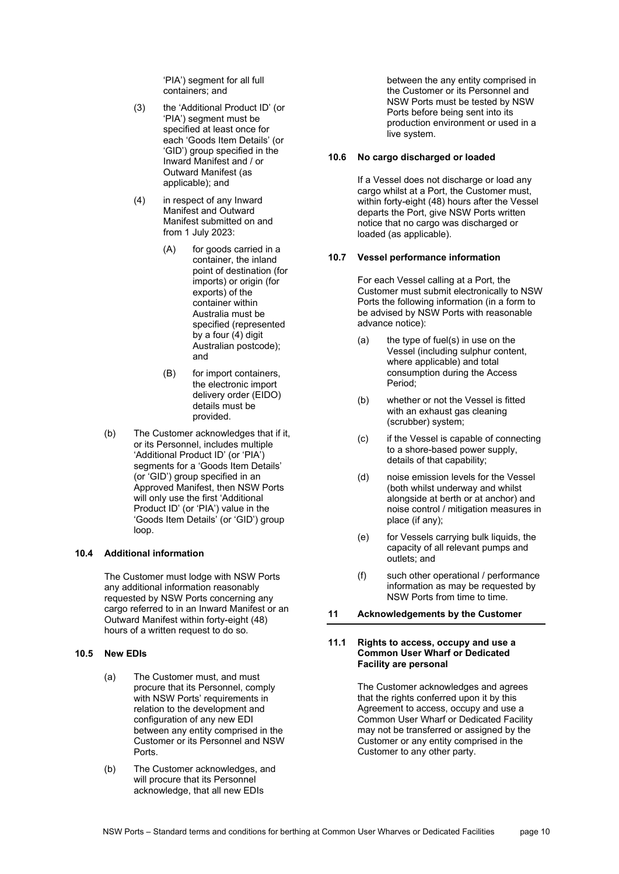'PIA') segment for all full containers; and

- (3) the 'Additional Product ID' (or 'PIA') segment must be specified at least once for each 'Goods Item Details' (or 'GID') group specified in the Inward Manifest and / or Outward Manifest (as applicable); and
- (4) in respect of any Inward Manifest and Outward Manifest submitted on and from 1 July 2023:
	- (A) for goods carried in a container, the inland point of destination (for imports) or origin (for exports) of the container within Australia must be specified (represented by a four (4) digit Australian postcode); and
	- (B) for import containers, the electronic import delivery order (EIDO) details must be provided.
- (b) The Customer acknowledges that if it, or its Personnel, includes multiple 'Additional Product ID' (or 'PIA') segments for a 'Goods Item Details' (or 'GID') group specified in an Approved Manifest, then NSW Ports will only use the first 'Additional Product ID' (or 'PIA') value in the 'Goods Item Details' (or 'GID') group loop.

#### **10.4 Additional information**

The Customer must lodge with NSW Ports any additional information reasonably requested by NSW Ports concerning any cargo referred to in an Inward Manifest or an Outward Manifest within forty-eight (48) hours of a written request to do so.

#### **10.5 New EDIs**

- (a) The Customer must, and must procure that its Personnel, comply with NSW Ports' requirements in relation to the development and configuration of any new EDI between any entity comprised in the Customer or its Personnel and NSW Ports.
- (b) The Customer acknowledges, and will procure that its Personnel acknowledge, that all new EDIs

between the any entity comprised in the Customer or its Personnel and NSW Ports must be tested by NSW Ports before being sent into its production environment or used in a live system.

## **10.6 No cargo discharged or loaded**

If a Vessel does not discharge or load any cargo whilst at a Port, the Customer must, within forty-eight (48) hours after the Vessel departs the Port, give NSW Ports written notice that no cargo was discharged or loaded (as applicable).

#### **10.7 Vessel performance information**

For each Vessel calling at a Port, the Customer must submit electronically to NSW Ports the following information (in a form to be advised by NSW Ports with reasonable advance notice):

- (a) the type of fuel(s) in use on the Vessel (including sulphur content, where applicable) and total consumption during the Access Period;
- (b) whether or not the Vessel is fitted with an exhaust gas cleaning (scrubber) system;
- (c) if the Vessel is capable of connecting to a shore-based power supply, details of that capability;
- (d) noise emission levels for the Vessel (both whilst underway and whilst alongside at berth or at anchor) and noise control / mitigation measures in place (if any);
- (e) for Vessels carrying bulk liquids, the capacity of all relevant pumps and outlets; and
- (f) such other operational / performance information as may be requested by NSW Ports from time to time.

# <span id="page-9-0"></span>**11 Acknowledgements by the Customer**

#### **11.1 Rights to access, occupy and use a Common User Wharf or Dedicated Facility are personal**

The Customer acknowledges and agrees that the rights conferred upon it by this Agreement to access, occupy and use a Common User Wharf or Dedicated Facility may not be transferred or assigned by the Customer or any entity comprised in the Customer to any other party.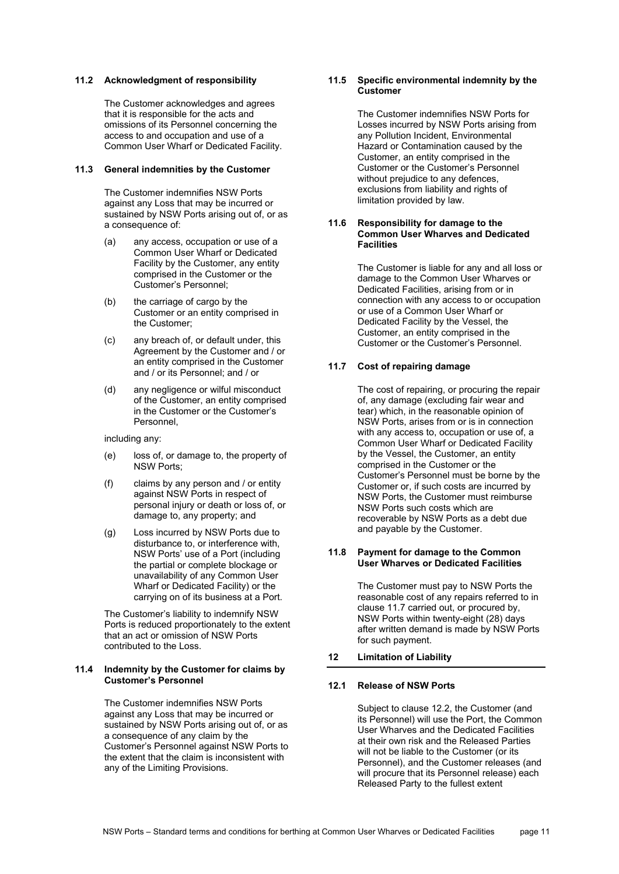#### **11.2 Acknowledgment of responsibility**

The Customer acknowledges and agrees that it is responsible for the acts and omissions of its Personnel concerning the access to and occupation and use of a Common User Wharf or Dedicated Facility.

#### **11.3 General indemnities by the Customer**

The Customer indemnifies NSW Ports against any Loss that may be incurred or sustained by NSW Ports arising out of, or as a consequence of:

- (a) any access, occupation or use of a Common User Wharf or Dedicated Facility by the Customer, any entity comprised in the Customer or the Customer's Personnel;
- (b) the carriage of cargo by the Customer or an entity comprised in the Customer;
- (c) any breach of, or default under, this Agreement by the Customer and / or an entity comprised in the Customer and / or its Personnel; and / or
- (d) any negligence or wilful misconduct of the Customer, an entity comprised in the Customer or the Customer's Personnel,

including any:

- (e) loss of, or damage to, the property of NSW Ports;
- (f) claims by any person and / or entity against NSW Ports in respect of personal injury or death or loss of, or damage to, any property; and
- (g) Loss incurred by NSW Ports due to disturbance to, or interference with, NSW Ports' use of a Port (including the partial or complete blockage or unavailability of any Common User Wharf or Dedicated Facility) or the carrying on of its business at a Port.

The Customer's liability to indemnify NSW Ports is reduced proportionately to the extent that an act or omission of NSW Ports contributed to the Loss.

#### **11.4 Indemnity by the Customer for claims by Customer's Personnel**

The Customer indemnifies NSW Ports against any Loss that may be incurred or sustained by NSW Ports arising out of, or as a consequence of any claim by the Customer's Personnel against NSW Ports to the extent that the claim is inconsistent with any of the Limiting Provisions.

## **11.5 Specific environmental indemnity by the Customer**

The Customer indemnifies NSW Ports for Losses incurred by NSW Ports arising from any Pollution Incident, Environmental Hazard or Contamination caused by the Customer, an entity comprised in the Customer or the Customer's Personnel without prejudice to any defences. exclusions from liability and rights of limitation provided by law.

#### **11.6 Responsibility for damage to the Common User Wharves and Dedicated Facilities**

The Customer is liable for any and all loss or damage to the Common User Wharves or Dedicated Facilities, arising from or in connection with any access to or occupation or use of a Common User Wharf or Dedicated Facility by the Vessel, the Customer, an entity comprised in the Customer or the Customer's Personnel.

# <span id="page-10-0"></span>**11.7 Cost of repairing damage**

The cost of repairing, or procuring the repair of, any damage (excluding fair wear and tear) which, in the reasonable opinion of NSW Ports, arises from or is in connection with any access to, occupation or use of, a Common User Wharf or Dedicated Facility by the Vessel, the Customer, an entity comprised in the Customer or the Customer's Personnel must be borne by the Customer or, if such costs are incurred by NSW Ports, the Customer must reimburse NSW Ports such costs which are recoverable by NSW Ports as a debt due and payable by the Customer.

#### **11.8 Payment for damage to the Common User Wharves or Dedicated Facilities**

The Customer must pay to NSW Ports the reasonable cost of any repairs referred to in claus[e 11.7](#page-10-0) carried out, or procured by, NSW Ports within twenty-eight (28) days after written demand is made by NSW Ports for such payment.

# <span id="page-10-2"></span>**12 Limitation of Liability**

#### <span id="page-10-1"></span>**12.1 Release of NSW Ports**

Subject to clause [12.2,](#page-11-0) the Customer (and its Personnel) will use the Port, the Common User Wharves and the Dedicated Facilities at their own risk and the Released Parties will not be liable to the Customer (or its Personnel), and the Customer releases (and will procure that its Personnel release) each Released Party to the fullest extent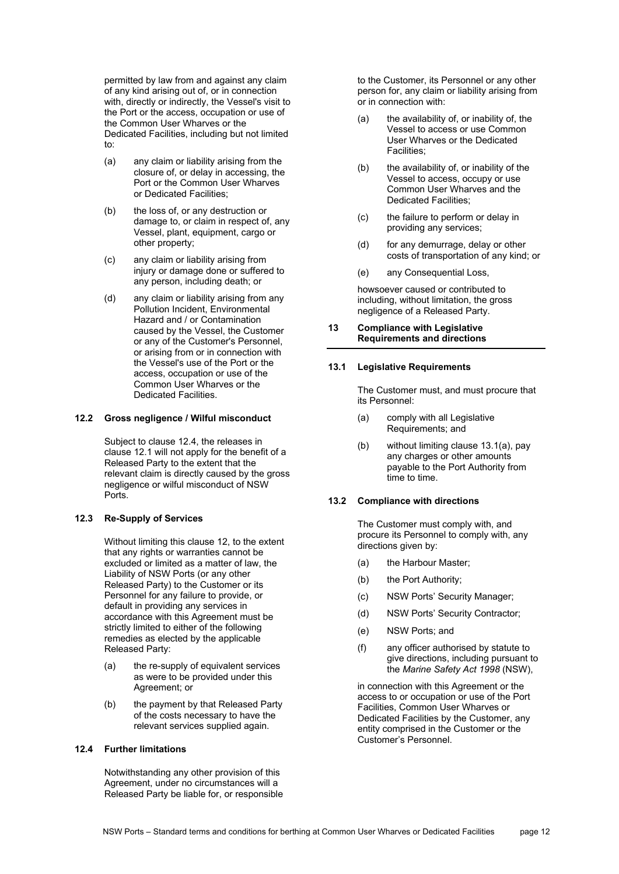permitted by law from and against any claim of any kind arising out of, or in connection with, directly or indirectly, the Vessel's visit to the Port or the access, occupation or use of the Common User Wharves or the Dedicated Facilities, including but not limited to:

- (a) any claim or liability arising from the closure of, or delay in accessing, the Port or the Common User Wharves or Dedicated Facilities;
- (b) the loss of, or any destruction or damage to, or claim in respect of, any Vessel, plant, equipment, cargo or other property;
- (c) any claim or liability arising from injury or damage done or suffered to any person, including death; or
- (d) any claim or liability arising from any Pollution Incident, Environmental Hazard and / or Contamination caused by the Vessel, the Customer or any of the Customer's Personnel, or arising from or in connection with the Vessel's use of the Port or the access, occupation or use of the Common User Wharves or the Dedicated Facilities.

#### <span id="page-11-0"></span>**12.2 Gross negligence / Wilful misconduct**

Subject to clause [12.4,](#page-11-1) the releases in clause [12.1](#page-10-1) will not apply for the benefit of a Released Party to the extent that the relevant claim is directly caused by the gross negligence or wilful misconduct of NSW Ports.

### **12.3 Re-Supply of Services**

Without limiting this clause [12,](#page-10-2) to the extent that any rights or warranties cannot be excluded or limited as a matter of law, the Liability of NSW Ports (or any other Released Party) to the Customer or its Personnel for any failure to provide, or default in providing any services in accordance with this Agreement must be strictly limited to either of the following remedies as elected by the applicable Released Party:

- (a) the re-supply of equivalent services as were to be provided under this Agreement; or
- (b) the payment by that Released Party of the costs necessary to have the relevant services supplied again.

# <span id="page-11-1"></span>**12.4 Further limitations**

Notwithstanding any other provision of this Agreement, under no circumstances will a Released Party be liable for, or responsible to the Customer, its Personnel or any other person for, any claim or liability arising from or in connection with:

- (a) the availability of, or inability of, the Vessel to access or use Common User Wharves or the Dedicated Facilities;
- (b) the availability of, or inability of the Vessel to access, occupy or use Common User Wharves and the Dedicated Facilities;
- (c) the failure to perform or delay in providing any services;
- (d) for any demurrage, delay or other costs of transportation of any kind; or
- (e) any Consequential Loss,

howsoever caused or contributed to including, without limitation, the gross negligence of a Released Party.

#### **13 Compliance with Legislative Requirements and directions**

# **13.1 Legislative Requirements**

The Customer must, and must procure that its Personnel:

- <span id="page-11-2"></span>(a) comply with all Legislative Requirements; and
- (b) without limiting clause [13.1\(a\),](#page-11-2) pay any charges or other amounts payable to the Port Authority from time to time.

#### **13.2 Compliance with directions**

The Customer must comply with, and procure its Personnel to comply with, any directions given by:

- (a) the Harbour Master;
- (b) the Port Authority;
- (c) NSW Ports' Security Manager;
- (d) NSW Ports' Security Contractor;
- (e) NSW Ports; and
- (f) any officer authorised by statute to give directions, including pursuant to the *Marine Safety Act 1998* (NSW),

in connection with this Agreement or the access to or occupation or use of the Port Facilities, Common User Wharves or Dedicated Facilities by the Customer, any entity comprised in the Customer or the Customer's Personnel.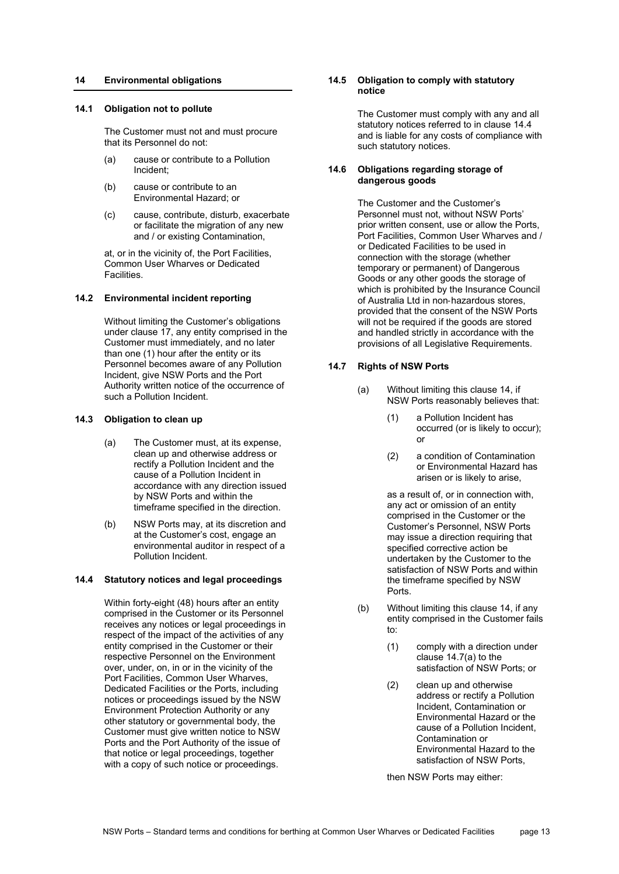# <span id="page-12-1"></span>**14 Environmental obligations**

## **14.1 Obligation not to pollute**

The Customer must not and must procure that its Personnel do not:

- (a) cause or contribute to a Pollution Incident;
- (b) cause or contribute to an Environmental Hazard; or
- (c) cause, contribute, disturb, exacerbate or facilitate the migration of any new and / or existing Contamination,

at, or in the vicinity of, the Port Facilities, Common User Wharves or Dedicated Facilities.

#### **14.2 Environmental incident reporting**

Without limiting the Customer's obligations under clause [17,](#page-13-0) any entity comprised in the Customer must immediately, and no later than one (1) hour after the entity or its Personnel becomes aware of any Pollution Incident, give NSW Ports and the Port Authority written notice of the occurrence of such a Pollution Incident.

#### **14.3 Obligation to clean up**

- (a) The Customer must, at its expense, clean up and otherwise address or rectify a Pollution Incident and the cause of a Pollution Incident in accordance with any direction issued by NSW Ports and within the timeframe specified in the direction.
- (b) NSW Ports may, at its discretion and at the Customer's cost, engage an environmental auditor in respect of a Pollution Incident.

#### <span id="page-12-0"></span>**14.4 Statutory notices and legal proceedings**

Within forty-eight (48) hours after an entity comprised in the Customer or its Personnel receives any notices or legal proceedings in respect of the impact of the activities of any entity comprised in the Customer or their respective Personnel on the Environment over, under, on, in or in the vicinity of the Port Facilities, Common User Wharves, Dedicated Facilities or the Ports, including notices or proceedings issued by the NSW Environment Protection Authority or any other statutory or governmental body, the Customer must give written notice to NSW Ports and the Port Authority of the issue of that notice or legal proceedings, together with a copy of such notice or proceedings.

### **14.5 Obligation to comply with statutory notice**

The Customer must comply with any and all statutory notices referred to in clause [14.4](#page-12-0) and is liable for any costs of compliance with such statutory notices.

#### **14.6 Obligations regarding storage of dangerous goods**

The Customer and the Customer's Personnel must not, without NSW Ports' prior written consent, use or allow the Ports, Port Facilities, Common User Wharves and / or Dedicated Facilities to be used in connection with the storage (whether temporary or permanent) of Dangerous Goods or any other goods the storage of which is prohibited by the Insurance Council of Australia Ltd in non‐hazardous stores, provided that the consent of the NSW Ports will not be required if the goods are stored and handled strictly in accordance with the provisions of all Legislative Requirements.

#### <span id="page-12-2"></span>**14.7 Rights of NSW Ports**

- (a) Without limiting this clause [14,](#page-12-1) if NSW Ports reasonably believes that:
	- (1) a Pollution Incident has occurred (or is likely to occur); or
	- (2) a condition of Contamination or Environmental Hazard has arisen or is likely to arise,

as a result of, or in connection with, any act or omission of an entity comprised in the Customer or the Customer's Personnel, NSW Ports may issue a direction requiring that specified corrective action be undertaken by the Customer to the satisfaction of NSW Ports and within the timeframe specified by NSW Ports.

- (b) Without limiting this clause [14,](#page-12-1) if any entity comprised in the Customer fails to:
	- (1) comply with a direction under clause [14.7\(a\)](#page-12-2) to the satisfaction of NSW Ports; or
	- (2) clean up and otherwise address or rectify a Pollution Incident, Contamination or Environmental Hazard or the cause of a Pollution Incident, Contamination or Environmental Hazard to the satisfaction of NSW Ports,

then NSW Ports may either: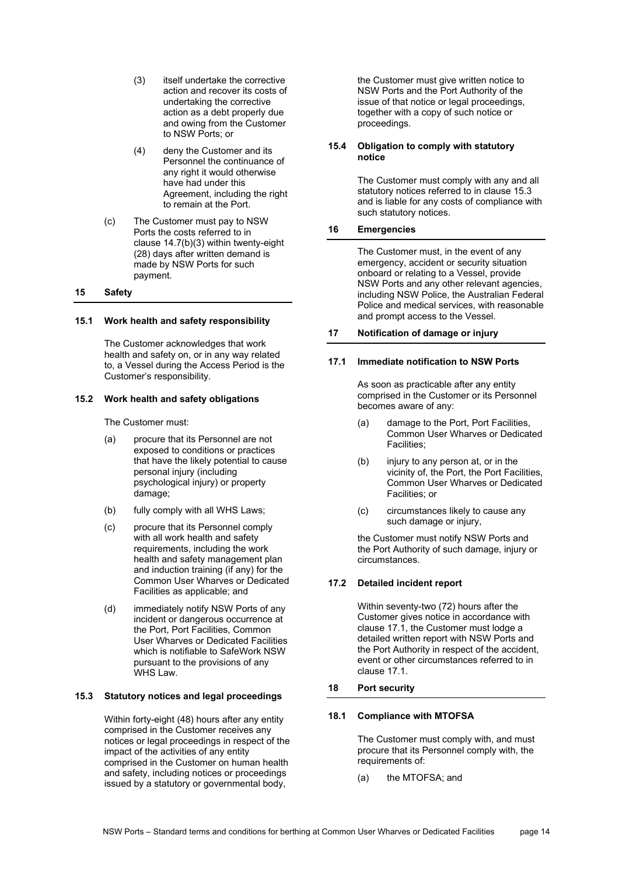- <span id="page-13-1"></span>(3) itself undertake the corrective action and recover its costs of undertaking the corrective action as a debt properly due and owing from the Customer to NSW Ports; or
- (4) deny the Customer and its Personnel the continuance of any right it would otherwise have had under this Agreement, including the right to remain at the Port.
- (c) The Customer must pay to NSW Ports the costs referred to in clause [14.7\(b\)\(3\)](#page-13-1) within twenty-eight (28) days after written demand is made by NSW Ports for such payment.

## **15 Safety**

#### **15.1 Work health and safety responsibility**

The Customer acknowledges that work health and safety on, or in any way related to, a Vessel during the Access Period is the Customer's responsibility.

#### **15.2 Work health and safety obligations**

The Customer must:

- (a) procure that its Personnel are not exposed to conditions or practices that have the likely potential to cause personal injury (including psychological injury) or property damage;
- (b) fully comply with all WHS Laws;
- (c) procure that its Personnel comply with all work health and safety requirements, including the work health and safety management plan and induction training (if any) for the Common User Wharves or Dedicated Facilities as applicable; and
- (d) immediately notify NSW Ports of any incident or dangerous occurrence at the Port, Port Facilities, Common User Wharves or Dedicated Facilities which is notifiable to SafeWork NSW pursuant to the provisions of any WHS Law.

#### <span id="page-13-2"></span>**15.3 Statutory notices and legal proceedings**

Within forty-eight (48) hours after any entity comprised in the Customer receives any notices or legal proceedings in respect of the impact of the activities of any entity comprised in the Customer on human health and safety, including notices or proceedings issued by a statutory or governmental body,

the Customer must give written notice to NSW Ports and the Port Authority of the issue of that notice or legal proceedings, together with a copy of such notice or proceedings.

# **15.4 Obligation to comply with statutory notice**

The Customer must comply with any and all statutory notices referred to in clause [15.3](#page-13-2) and is liable for any costs of compliance with such statutory notices.

# **16 Emergencies**

The Customer must, in the event of any emergency, accident or security situation onboard or relating to a Vessel, provide NSW Ports and any other relevant agencies, including NSW Police, the Australian Federal Police and medical services, with reasonable and prompt access to the Vessel.

# <span id="page-13-0"></span>**17 Notification of damage or injury**

#### <span id="page-13-3"></span>**17.1 Immediate notification to NSW Ports**

As soon as practicable after any entity comprised in the Customer or its Personnel becomes aware of any:

- (a) damage to the Port, Port Facilities, Common User Wharves or Dedicated Facilities;
- (b) injury to any person at, or in the vicinity of, the Port, the Port Facilities, Common User Wharves or Dedicated Facilities; or
- (c) circumstances likely to cause any such damage or injury.

the Customer must notify NSW Ports and the Port Authority of such damage, injury or circumstances.

## **17.2 Detailed incident report**

Within seventy-two (72) hours after the Customer gives notice in accordance with claus[e 17.1,](#page-13-3) the Customer must lodge a detailed written report with NSW Ports and the Port Authority in respect of the accident, event or other circumstances referred to in claus[e 17.1.](#page-13-3)

#### **18 Port security**

#### **18.1 Compliance with MTOFSA**

The Customer must comply with, and must procure that its Personnel comply with, the requirements of:

(a) the MTOFSA; and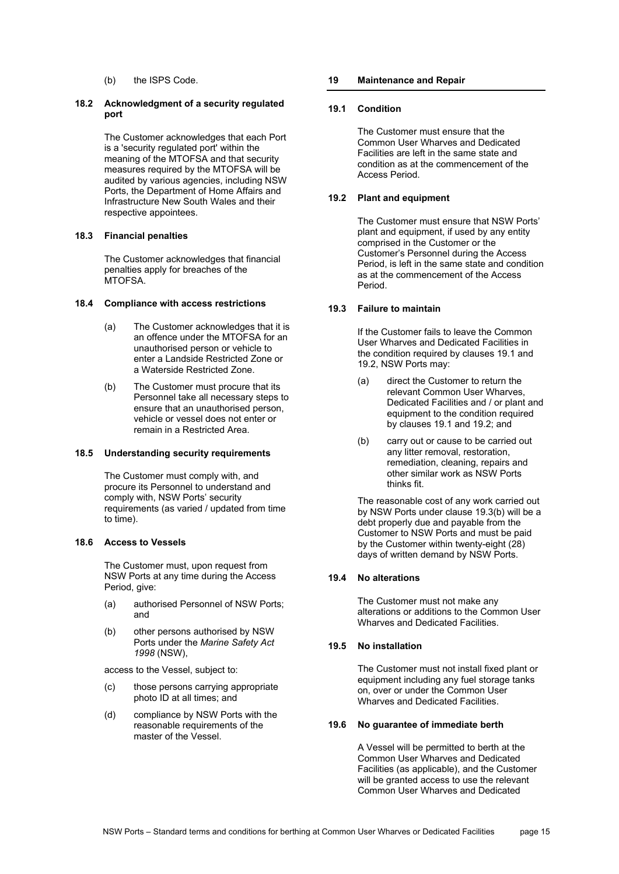(b) the ISPS Code.

## **18.2 Acknowledgment of a security regulated port**

The Customer acknowledges that each Port is a 'security regulated port' within the meaning of the MTOFSA and that security measures required by the MTOFSA will be audited by various agencies, including NSW Ports, the Department of Home Affairs and Infrastructure New South Wales and their respective appointees.

# **18.3 Financial penalties**

The Customer acknowledges that financial penalties apply for breaches of the MTOFSA.

# **18.4 Compliance with access restrictions**

- (a) The Customer acknowledges that it is an offence under the MTOFSA for an unauthorised person or vehicle to enter a Landside Restricted Zone or a Waterside Restricted Zone.
- (b) The Customer must procure that its Personnel take all necessary steps to ensure that an unauthorised person, vehicle or vessel does not enter or remain in a Restricted Area.

#### **18.5 Understanding security requirements**

The Customer must comply with, and procure its Personnel to understand and comply with, NSW Ports' security requirements (as varied / updated from time to time).

## **18.6 Access to Vessels**

The Customer must, upon request from NSW Ports at any time during the Access Period, give:

- (a) authorised Personnel of NSW Ports; and
- (b) other persons authorised by NSW Ports under the *Marine Safety Act 1998* (NSW),

access to the Vessel, subject to:

- (c) those persons carrying appropriate photo ID at all times; and
- (d) compliance by NSW Ports with the reasonable requirements of the master of the Vessel.

# **19 Maintenance and Repair**

# <span id="page-14-0"></span>**19.1 Condition**

The Customer must ensure that the Common User Wharves and Dedicated Facilities are left in the same state and condition as at the commencement of the Access Period.

# **19.2 Plant and equipment**

The Customer must ensure that NSW Ports' plant and equipment, if used by any entity comprised in the Customer or the Customer's Personnel during the Access Period, is left in the same state and condition as at the commencement of the Access Period.

# **19.3 Failure to maintain**

If the Customer fails to leave the Common User Wharves and Dedicated Facilities in the condition required by clauses [19.1](#page-14-0) and 19.2, NSW Ports may:

- (a) direct the Customer to return the relevant Common User Wharves, Dedicated Facilities and / or plant and equipment to the condition required by clauses [19.1](#page-14-0) and 19.2; and
- <span id="page-14-1"></span>(b) carry out or cause to be carried out any litter removal, restoration, remediation, cleaning, repairs and other similar work as NSW Ports thinks fit.

The reasonable cost of any work carried out by NSW Ports under clause [19.3\(b\)](#page-14-1) will be a debt properly due and payable from the Customer to NSW Ports and must be paid by the Customer within twenty-eight (28) days of written demand by NSW Ports.

# **19.4 No alterations**

The Customer must not make any alterations or additions to the Common User Wharves and Dedicated Facilities.

# **19.5 No installation**

The Customer must not install fixed plant or equipment including any fuel storage tanks on, over or under the Common User Wharves and Dedicated Facilities.

# **19.6 No guarantee of immediate berth**

A Vessel will be permitted to berth at the Common User Wharves and Dedicated Facilities (as applicable), and the Customer will be granted access to use the relevant Common User Wharves and Dedicated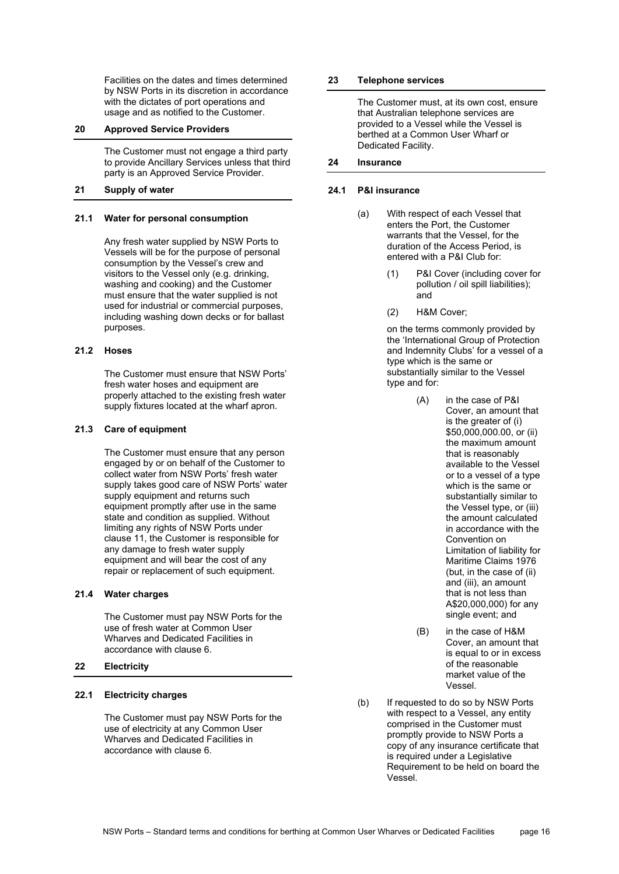Facilities on the dates and times determined by NSW Ports in its discretion in accordance with the dictates of port operations and usage and as notified to the Customer.

# **20 Approved Service Providers**

The Customer must not engage a third party to provide Ancillary Services unless that third party is an Approved Service Provider.

#### **21 Supply of water**

#### **21.1 Water for personal consumption**

Any fresh water supplied by NSW Ports to Vessels will be for the purpose of personal consumption by the Vessel's crew and visitors to the Vessel only (e.g. drinking, washing and cooking) and the Customer must ensure that the water supplied is not used for industrial or commercial purposes, including washing down decks or for ballast purposes.

## **21.2 Hoses**

The Customer must ensure that NSW Ports' fresh water hoses and equipment are properly attached to the existing fresh water supply fixtures located at the wharf apron.

#### **21.3 Care of equipment**

The Customer must ensure that any person engaged by or on behalf of the Customer to collect water from NSW Ports' fresh water supply takes good care of NSW Ports' water supply equipment and returns such equipment promptly after use in the same state and condition as supplied. Without limiting any rights of NSW Ports under clause [11,](#page-9-0) the Customer is responsible for any damage to fresh water supply equipment and will bear the cost of any repair or replacement of such equipment.

#### **21.4 Water charges**

The Customer must pay NSW Ports for the use of fresh water at Common User Wharves and Dedicated Facilities in accordance with clause [6.](#page-3-1) 

# **22 Electricity**

### **22.1 Electricity charges**

The Customer must pay NSW Ports for the use of electricity at any Common User Wharves and Dedicated Facilities in accordance with clause [6.](#page-3-1) 

#### **23 Telephone services**

The Customer must, at its own cost, ensure that Australian telephone services are provided to a Vessel while the Vessel is berthed at a Common User Wharf or Dedicated Facility.

#### **24 Insurance**

## **24.1 P&I insurance**

- (a) With respect of each Vessel that enters the Port, the Customer warrants that the Vessel, for the duration of the Access Period, is entered with a P&I Club for:
	- (1) P&I Cover (including cover for pollution / oil spill liabilities); and
	- (2) H&M Cover;

on the terms commonly provided by the 'International Group of Protection and Indemnity Clubs' for a vessel of a type which is the same or substantially similar to the Vessel type and for:

- (A) in the case of P&I Cover, an amount that is the greater of (i) \$50,000,000,00, or (ii) the maximum amount that is reasonably available to the Vessel or to a vessel of a type which is the same or substantially similar to the Vessel type, or (iii) the amount calculated in accordance with the Convention on Limitation of liability for Maritime Claims 1976 (but, in the case of (ii) and (iii), an amount that is not less than A\$20,000,000) for any single event; and
- (B) in the case of H&M Cover, an amount that is equal to or in excess of the reasonable market value of the Vessel.
- <span id="page-15-0"></span>(b) If requested to do so by NSW Ports with respect to a Vessel, any entity comprised in the Customer must promptly provide to NSW Ports a copy of any insurance certificate that is required under a Legislative Requirement to be held on board the Vessel.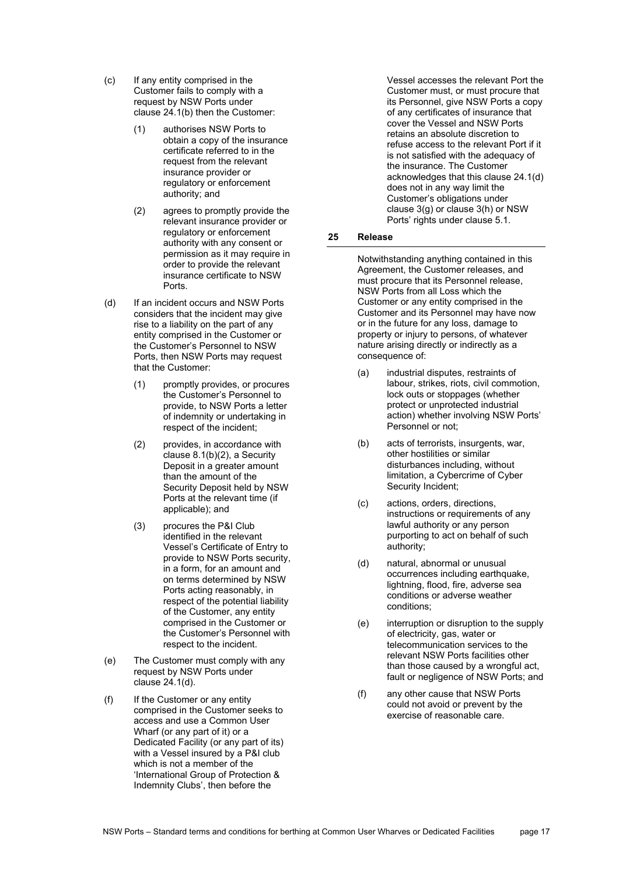- (c) If any entity comprised in the Customer fails to comply with a request by NSW Ports under clause [24.1\(b\)](#page-15-0) then the Customer:
	- (1) authorises NSW Ports to obtain a copy of the insurance certificate referred to in the request from the relevant insurance provider or regulatory or enforcement authority; and
	- (2) agrees to promptly provide the relevant insurance provider or regulatory or enforcement authority with any consent or permission as it may require in order to provide the relevant insurance certificate to NSW Ports.
- <span id="page-16-0"></span>(d) If an incident occurs and NSW Ports considers that the incident may give rise to a liability on the part of any entity comprised in the Customer or the Customer's Personnel to NSW Ports, then NSW Ports may request that the Customer:
	- (1) promptly provides, or procures the Customer's Personnel to provide, to NSW Ports a letter of indemnity or undertaking in respect of the incident;
	- (2) provides, in accordance with clause [8.1\(b\)\(2\),](#page-5-4) a Security Deposit in a greater amount than the amount of the Security Deposit held by NSW Ports at the relevant time (if applicable); and
	- (3) procures the P&I Club identified in the relevant Vessel's Certificate of Entry to provide to NSW Ports security, in a form, for an amount and on terms determined by NSW Ports acting reasonably, in respect of the potential liability of the Customer, any entity comprised in the Customer or the Customer's Personnel with respect to the incident.
- (e) The Customer must comply with any request by NSW Ports under clause [24.1\(d\).](#page-16-0)
- (f) If the Customer or any entity comprised in the Customer seeks to access and use a Common User Wharf (or any part of it) or a Dedicated Facility (or any part of its) with a Vessel insured by a P&I club which is not a member of the 'International Group of Protection & Indemnity Clubs', then before the

Vessel accesses the relevant Port the Customer must, or must procure that its Personnel, give NSW Ports a copy of any certificates of insurance that cover the Vessel and NSW Ports retains an absolute discretion to refuse access to the relevant Port if it is not satisfied with the adequacy of the insurance. The Customer acknowledges that this clause [24.1\(d\)](#page-16-0) does not in any way limit the Customer's obligations under clause [3\(g\)](#page-1-0) or clause [3\(h\)](#page-1-2) or NSW Ports' rights under clause [5.1.](#page-2-0)

# **25 Release**

Notwithstanding anything contained in this Agreement, the Customer releases, and must procure that its Personnel release, NSW Ports from all Loss which the Customer or any entity comprised in the Customer and its Personnel may have now or in the future for any loss, damage to property or injury to persons, of whatever nature arising directly or indirectly as a consequence of:

- (a) industrial disputes, restraints of labour, strikes, riots, civil commotion, lock outs or stoppages (whether protect or unprotected industrial action) whether involving NSW Ports' Personnel or not;
- (b) acts of terrorists, insurgents, war, other hostilities or similar disturbances including, without limitation, a Cybercrime of Cyber Security Incident;
- (c) actions, orders, directions, instructions or requirements of any lawful authority or any person purporting to act on behalf of such authority;
- (d) natural, abnormal or unusual occurrences including earthquake, lightning, flood, fire, adverse sea conditions or adverse weather conditions;
- (e) interruption or disruption to the supply of electricity, gas, water or telecommunication services to the relevant NSW Ports facilities other than those caused by a wrongful act, fault or negligence of NSW Ports; and
- (f) any other cause that NSW Ports could not avoid or prevent by the exercise of reasonable care.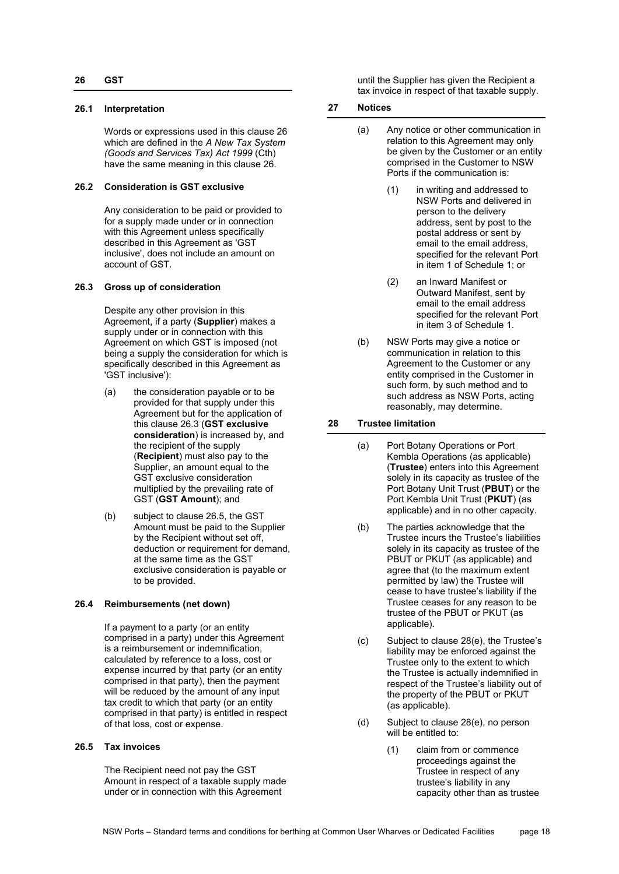## <span id="page-17-0"></span>**26.1 Interpretation**

Words or expressions used in this clause [26](#page-17-0) which are defined in the *A New Tax System (Goods and Services Tax) Act 1999* (Cth) have the same meaning in this clause [26.](#page-17-0) 

# **26.2 Consideration is GST exclusive**

Any consideration to be paid or provided to for a supply made under or in connection with this Agreement unless specifically described in this Agreement as 'GST inclusiveʹ, does not include an amount on account of GST.

# <span id="page-17-1"></span>**26.3 Gross up of consideration**

Despite any other provision in this Agreement, if a party (**Supplier**) makes a supply under or in connection with this Agreement on which GST is imposed (not being a supply the consideration for which is specifically described in this Agreement as 'GST inclusive'):

- <span id="page-17-5"></span>(a) the consideration payable or to be provided for that supply under this Agreement but for the application of this claus[e 26.3](#page-17-1) (**GST exclusive consideration**) is increased by, and the recipient of the supply (**Recipient**) must also pay to the Supplier, an amount equal to the GST exclusive consideration multiplied by the prevailing rate of GST (**GST Amount**); and
- (b) subject to clause [26.5,](#page-17-2) the GST Amount must be paid to the Supplier by the Recipient without set off, deduction or requirement for demand, at the same time as the GST exclusive consideration is payable or to be provided.

# **26.4 Reimbursements (net down)**

If a payment to a party (or an entity comprised in a party) under this Agreement is a reimbursement or indemnification, calculated by reference to a loss, cost or expense incurred by that party (or an entity comprised in that party), then the payment will be reduced by the amount of any input tax credit to which that party (or an entity comprised in that party) is entitled in respect of that loss, cost or expense.

# <span id="page-17-2"></span>**26.5 Tax invoices**

The Recipient need not pay the GST Amount in respect of a taxable supply made under or in connection with this Agreement

until the Supplier has given the Recipient a tax invoice in respect of that taxable supply.

## **27 Notices**

- (a) Any notice or other communication in relation to this Agreement may only be given by the Customer or an entity comprised in the Customer to NSW Ports if the communication is:
	- (1) in writing and addressed to NSW Ports and delivered in person to the delivery address, sent by post to the postal address or sent by email to the email address, specified for the relevant Port in item 1 of [Schedule 1;](#page-20-0) or
	- (2) an Inward Manifest or Outward Manifest, sent by email to the email address specified for the relevant Port in item 3 of [Schedule 1.](#page-20-0)
- (b) NSW Ports may give a notice or communication in relation to this Agreement to the Customer or any entity comprised in the Customer in such form, by such method and to such address as NSW Ports, acting reasonably, may determine.

# **28 Trustee limitation**

- (a) Port Botany Operations or Port Kembla Operations (as applicable) (**Trustee**) enters into this Agreement solely in its capacity as trustee of the Port Botany Unit Trust (**PBUT**) or the Port Kembla Unit Trust (**PKUT**) (as applicable) and in no other capacity.
- (b) The parties acknowledge that the Trustee incurs the Trustee's liabilities solely in its capacity as trustee of the PBUT or PKUT (as applicable) and agree that (to the maximum extent permitted by law) the Trustee will cease to have trustee's liability if the Trustee ceases for any reason to be trustee of the PBUT or PKUT (as applicable).
- <span id="page-17-3"></span>(c) Subject to clause [28\(e\),](#page-18-1) the Trustee's liability may be enforced against the Trustee only to the extent to which the Trustee is actually indemnified in respect of the Trustee's liability out of the property of the PBUT or PKUT (as applicable).
- <span id="page-17-4"></span>(d) Subject to clause [28\(e\),](#page-18-1) no person will be entitled to:
	- (1) claim from or commence proceedings against the Trustee in respect of any trustee's liability in any capacity other than as trustee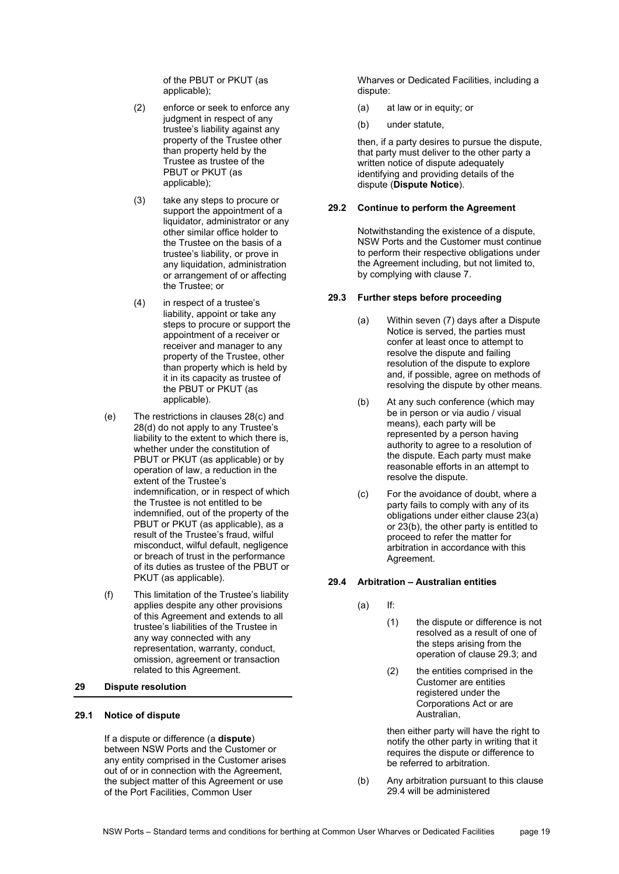of the PBUT or PKUT (as applicable);

- (2) enforce or seek to enforce any judgment in respect of any trustee's liability against any property of the Trustee other than property held by the Trustee as trustee of the PBUT or PKUT (as applicable);
- (3) take any steps to procure or support the appointment of a liquidator, administrator or any other similar office holder to the Trustee on the basis of a trustee's liability, or prove in any liquidation, administration or arrangement of or affecting the Trustee; or
- (4) in respect of a trustee's liability, appoint or take any steps to procure or support the appointment of a receiver or receiver and manager to any property of the Trustee, other than property which is held by it in its capacity as trustee of the PBUT or PKUT (as applicable).
- <span id="page-18-1"></span>(e) The restrictions in clauses [28\(c\)](#page-17-3) and [28\(d\)](#page-17-4) do not apply to any Trustee's liability to the extent to which there is, whether under the constitution of PBUT or PKUT (as applicable) or by operation of law, a reduction in the extent of the Trustee's indemnification, or in respect of which the Trustee is not entitled to be indemnified, out of the property of the PBUT or PKUT (as applicable), as a result of the Trustee's fraud, wilful misconduct, wilful default, negligence or breach of trust in the performance of its duties as trustee of the PBUT or PKUT (as applicable).
- (f) This limitation of the Trustee's liability applies despite any other provisions of this Agreement and extends to all trustee's liabilities of the Trustee in any way connected with any representation, warranty, conduct, omission, agreement or transaction related to this Agreement.

## <span id="page-18-0"></span>**29 Dispute resolution**

#### <span id="page-18-4"></span>**29.1 Notice of dispute**

If a dispute or difference (a **dispute**) between NSW Ports and the Customer or any entity comprised in the Customer arises out of or in connection with the Agreement, the subject matter of this Agreement or use of the Port Facilities, Common User

Wharves or Dedicated Facilities, including a dispute:

- (a) at law or in equity; or
- (b) under statute,

then, if a party desires to pursue the dispute, that party must deliver to the other party a written notice of dispute adequately identifying and providing details of the dispute (**Dispute Notice**).

#### **29.2 Continue to perform the Agreement**

Notwithstanding the existence of a dispute, NSW Ports and the Customer must continue to perform their respective obligations under the Agreement including, but not limited to, by complying with clause [7.](#page-3-2)

#### <span id="page-18-3"></span><span id="page-18-2"></span>**29.3 Further steps before proceeding**

- (a) Within seven (7) days after a Dispute Notice is served, the parties must confer at least once to attempt to resolve the dispute and failing resolution of the dispute to explore and, if possible, agree on methods of resolving the dispute by other means.
- (b) At any such conference (which may be in person or via audio / visual means), each party will be represented by a person having authority to agree to a resolution of the dispute. Each party must make reasonable efforts in an attempt to resolve the dispute.
- (c) For the avoidance of doubt, where a party fails to comply with any of its obligations under either clause 23(a) or 23(b), the other party is entitled to proceed to refer the matter for arbitration in accordance with this Agreement.

#### **29.4 Arbitration – Australian entities**

- (a) If:
	- (1) the dispute or difference is not resolved as a result of one of the steps arising from the operation of clause [29.3;](#page-18-2) and
	- (2) the entities comprised in the Customer are entities registered under the Corporations Act or are Australian,

then either party will have the right to notify the other party in writing that it requires the dispute or difference to be referred to arbitration.

(b) Any arbitration pursuant to this clause [29.4](#page-18-3) will be administered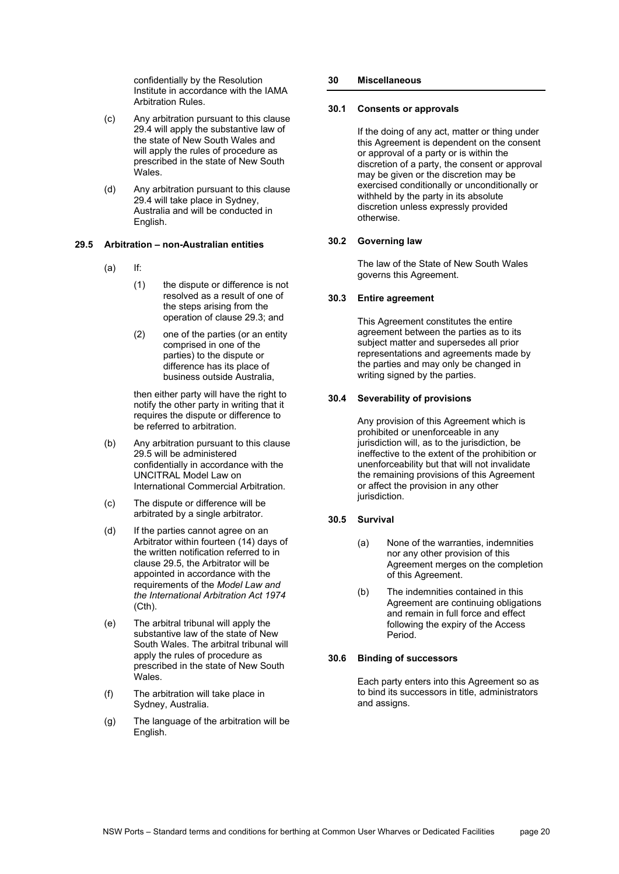confidentially by the Resolution Institute in accordance with the IAMA Arbitration Rules.

- (c) Any arbitration pursuant to this clause [29.4](#page-18-3) will apply the substantive law of the state of New South Wales and will apply the rules of procedure as prescribed in the state of New South Wales.
- (d) Any arbitration pursuant to this clause [29.4](#page-18-3) will take place in Sydney, Australia and will be conducted in English.

### <span id="page-19-0"></span>**29.5 Arbitration – non-Australian entities**

- (a) If:
	- (1) the dispute or difference is not resolved as a result of one of the steps arising from the operation of claus[e 29.3;](#page-18-2) and
	- (2) one of the parties (or an entity comprised in one of the parties) to the dispute or difference has its place of business outside Australia,

then either party will have the right to notify the other party in writing that it requires the dispute or difference to be referred to arbitration.

- (b) Any arbitration pursuant to this clause [29.5](#page-19-0) will be administered confidentially in accordance with the UNCITRAL Model Law on International Commercial Arbitration.
- (c) The dispute or difference will be arbitrated by a single arbitrator.
- (d) If the parties cannot agree on an Arbitrator within fourteen (14) days of the written notification referred to in clause [29.5,](#page-19-0) the Arbitrator will be appointed in accordance with the requirements of the *Model Law and the International Arbitration Act 1974* (Cth).
- (e) The arbitral tribunal will apply the substantive law of the state of New South Wales. The arbitral tribunal will apply the rules of procedure as prescribed in the state of New South Wales.
- (f) The arbitration will take place in Sydney, Australia.
- (g) The language of the arbitration will be English.

# **30 Miscellaneous**

## **30.1 Consents or approvals**

If the doing of any act, matter or thing under this Agreement is dependent on the consent or approval of a party or is within the discretion of a party, the consent or approval may be given or the discretion may be exercised conditionally or unconditionally or withheld by the party in its absolute discretion unless expressly provided otherwise.

# **30.2 Governing law**

The law of the State of New South Wales governs this Agreement.

# **30.3 Entire agreement**

This Agreement constitutes the entire agreement between the parties as to its subject matter and supersedes all prior representations and agreements made by the parties and may only be changed in writing signed by the parties.

# **30.4 Severability of provisions**

Any provision of this Agreement which is prohibited or unenforceable in any jurisdiction will, as to the jurisdiction, be ineffective to the extent of the prohibition or unenforceability but that will not invalidate the remaining provisions of this Agreement or affect the provision in any other jurisdiction.

#### **30.5 Survival**

- (a) None of the warranties, indemnities nor any other provision of this Agreement merges on the completion of this Agreement.
- (b) The indemnities contained in this Agreement are continuing obligations and remain in full force and effect following the expiry of the Access Period.

#### **30.6 Binding of successors**

Each party enters into this Agreement so as to bind its successors in title, administrators and assigns.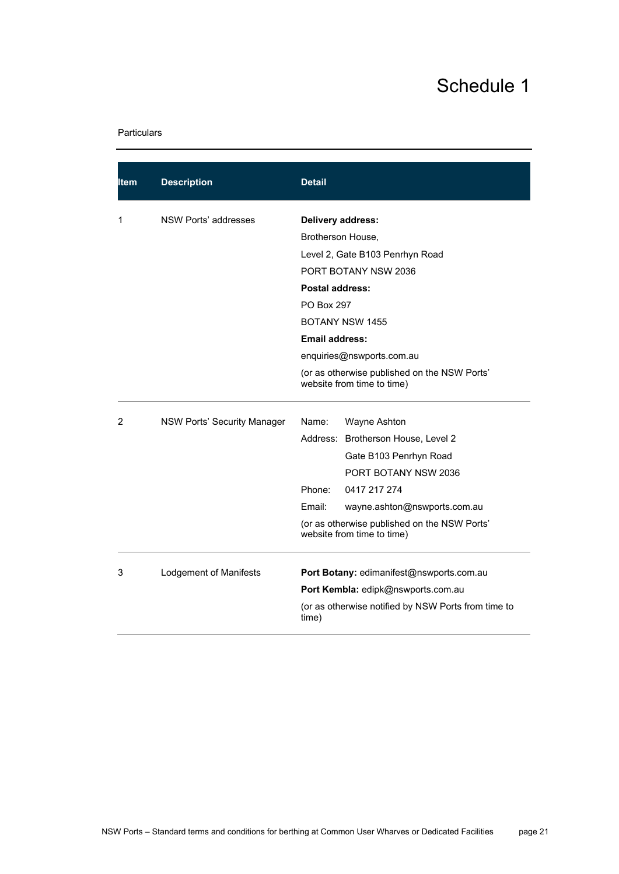# Schedule 1

# <span id="page-20-0"></span>Particulars

| ltem | <b>Description</b>          | <b>Detail</b>                                                              |
|------|-----------------------------|----------------------------------------------------------------------------|
| 1    | NSW Ports' addresses        | Delivery address:                                                          |
|      |                             | Brotherson House,                                                          |
|      |                             | Level 2, Gate B103 Penrhyn Road                                            |
|      |                             | PORT BOTANY NSW 2036                                                       |
|      |                             | Postal address:                                                            |
|      |                             | <b>PO Box 297</b>                                                          |
|      |                             | <b>BOTANY NSW 1455</b>                                                     |
|      |                             | <b>Email address:</b>                                                      |
|      |                             | enquiries@nswports.com.au                                                  |
|      |                             | (or as otherwise published on the NSW Ports'<br>website from time to time) |
| 2    | NSW Ports' Security Manager | Name:<br>Wayne Ashton                                                      |
|      |                             | Address: Brotherson House, Level 2                                         |
|      |                             | Gate B103 Penrhyn Road                                                     |
|      |                             | PORT BOTANY NSW 2036                                                       |
|      |                             | Phone:<br>0417 217 274                                                     |
|      |                             | Email:<br>wayne.ashton@nswports.com.au                                     |
|      |                             | (or as otherwise published on the NSW Ports'<br>website from time to time) |
| 3    | Lodgement of Manifests      | Port Botany: edimanifest@nswports.com.au                                   |
|      |                             | Port Kembla: edipk@nswports.com.au                                         |
|      |                             | (or as otherwise notified by NSW Ports from time to<br>time)               |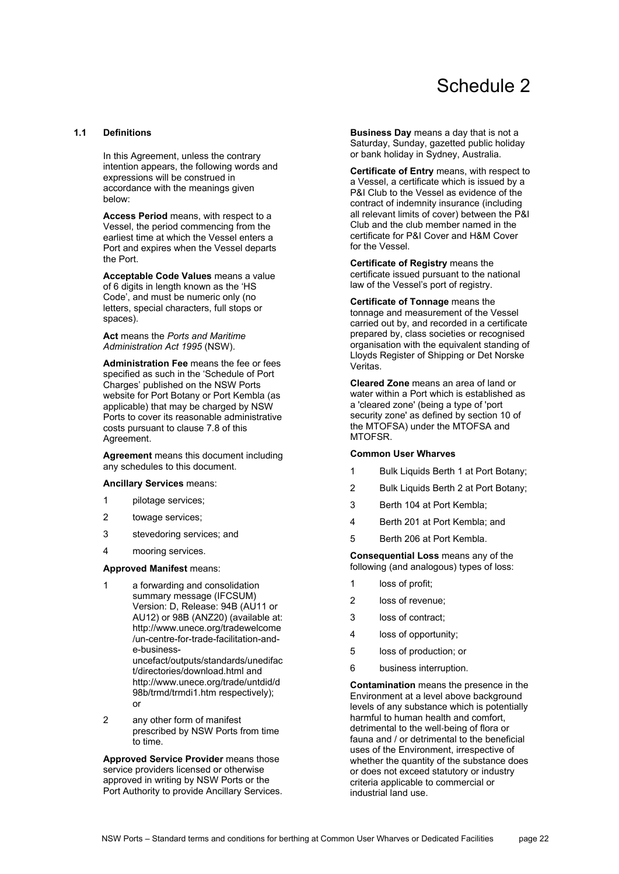# Schedule 2

# <span id="page-21-0"></span>**1.1 Definitions**

In this Agreement, unless the contrary intention appears, the following words and expressions will be construed in accordance with the meanings given below:

**Access Period** means, with respect to a Vessel, the period commencing from the earliest time at which the Vessel enters a Port and expires when the Vessel departs the Port.

**Acceptable Code Values** means a value of 6 digits in length known as the 'HS Code', and must be numeric only (no letters, special characters, full stops or spaces).

**Act** means the *Ports and Maritime Administration Act 1995* (NSW).

**Administration Fee** means the fee or fees specified as such in the 'Schedule of Port Charges' published on the NSW Ports website for Port Botany or Port Kembla (as applicable) that may be charged by NSW Ports to cover its reasonable administrative costs pursuant to clause 7.8 of this Agreement.

**Agreement** means this document including any schedules to this document.

#### **Ancillary Services** means:

- 1 pilotage services;
- 2 towage services;
- 3 stevedoring services; and
- 4 mooring services.

#### **Approved Manifest** means:

1 a forwarding and consolidation summary message (IFCSUM) Version: D, Release: 94B (AU11 or AU12) or 98B (ANZ20) (available at: http://www.unece.org/tradewelcome /un-centre-for-trade-facilitation-ande-business-

uncefact/outputs/standards/unedifac t/directories/download.html and http://www.unece.org/trade/untdid/d 98b/trmd/trmdi1.htm respectively); or

2 any other form of manifest prescribed by NSW Ports from time to time.

**Approved Service Provider** means those service providers licensed or otherwise approved in writing by NSW Ports or the Port Authority to provide Ancillary Services.

**Business Day** means a day that is not a Saturday, Sunday, gazetted public holiday or bank holiday in Sydney, Australia.

**Certificate of Entry** means, with respect to a Vessel, a certificate which is issued by a P&I Club to the Vessel as evidence of the contract of indemnity insurance (including all relevant limits of cover) between the P&I Club and the club member named in the certificate for P&I Cover and H&M Cover for the Vessel.

**Certificate of Registry** means the certificate issued pursuant to the national law of the Vessel's port of registry.

**Certificate of Tonnage** means the tonnage and measurement of the Vessel carried out by, and recorded in a certificate prepared by, class societies or recognised organisation with the equivalent standing of Lloyds Register of Shipping or Det Norske Veritas.

**Cleared Zone** means an area of land or water within a Port which is established as a 'cleared zone' (being a type of 'port security zone' as defined by section 10 of the MTOFSA) under the MTOFSA and MTOFSR.

#### **Common User Wharves**

- 1 Bulk Liquids Berth 1 at Port Botany;
- 2 Bulk Liquids Berth 2 at Port Botany;
- 3 Berth 104 at Port Kembla;
- 4 Berth 201 at Port Kembla; and
- 5 Berth 206 at Port Kembla.

**Consequential Loss** means any of the following (and analogous) types of loss:

- 1 loss of profit;
- 2 loss of revenue;
- 3 loss of contract;
- 4 loss of opportunity;
- 5 loss of production; or
- 6 business interruption.

**Contamination** means the presence in the Environment at a level above background levels of any substance which is potentially harmful to human health and comfort, detrimental to the well‐being of flora or fauna and / or detrimental to the beneficial uses of the Environment, irrespective of whether the quantity of the substance does or does not exceed statutory or industry criteria applicable to commercial or industrial land use.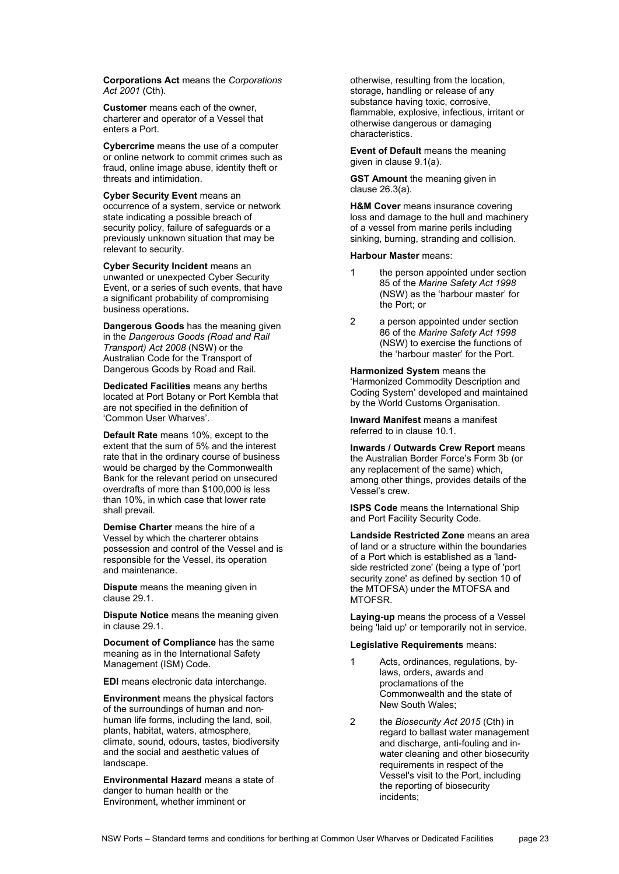**Corporations Act** means the *Corporations Act 2001* (Cth).

**Customer** means each of the owner, charterer and operator of a Vessel that enters a Port.

**Cybercrime** means the use of a computer or online network to commit crimes such as fraud, online image abuse, identity theft or threats and intimidation.

**Cyber Security Event** means an occurrence of a system, service or network state indicating a possible breach of security policy, failure of safeguards or a previously unknown situation that may be relevant to security.

**Cyber Security Incident** means an unwanted or unexpected Cyber Security Event, or a series of such events, that have a significant probability of compromising business operations**.**

**Dangerous Goods** has the meaning given in the *Dangerous Goods (Road and Rail Transport) Act 2008* (NSW) or the Australian Code for the Transport of Dangerous Goods by Road and Rail.

**Dedicated Facilities** means any berths located at Port Botany or Port Kembla that are not specified in the definition of 'Common User Wharves'.

**Default Rate** means 10%, except to the extent that the sum of 5% and the interest rate that in the ordinary course of business would be charged by the Commonwealth Bank for the relevant period on unsecured overdrafts of more than \$100,000 is less than 10%, in which case that lower rate shall prevail.

**Demise Charter** means the hire of a Vessel by which the charterer obtains possession and control of the Vessel and is responsible for the Vessel, its operation and maintenance.

**Dispute** means the meaning given in clause [29.1.](#page-18-4)

**Dispute Notice** means the meaning given in clause [29.1.](#page-18-4)

**Document of Compliance** has the same meaning as in the International Safety Management (ISM) Code.

**EDI** means electronic data interchange.

**Environment** means the physical factors of the surroundings of human and non‐ human life forms, including the land, soil, plants, habitat, waters, atmosphere, climate, sound, odours, tastes, biodiversity and the social and aesthetic values of landscape.

**Environmental Hazard** means a state of danger to human health or the Environment, whether imminent or

otherwise, resulting from the location, storage, handling or release of any substance having toxic, corrosive, flammable, explosive, infectious, irritant or otherwise dangerous or damaging characteristics.

**Event of Default** means the meaning given in clause [9.1\(a\).](#page-6-6) 

**GST Amount** the meaning given in clause [26.3\(a\).](#page-17-5)

**H&M Cover** means insurance covering loss and damage to the hull and machinery of a vessel from marine perils including sinking, burning, stranding and collision.

#### **Harbour Master** means:

- 1 the person appointed under section 85 of the *Marine Safety Act 1998* (NSW) as the 'harbour master' for the Port; or
- 2 a person appointed under section 86 of the *Marine Safety Act 1998* (NSW) to exercise the functions of the 'harbour master' for the Port.

**Harmonized System** means the 'Harmonized Commodity Description and Coding System' developed and maintained by the World Customs Organisation.

**Inward Manifest** means a manifest referred to in clause [10.1.](#page-8-6) 

**Inwards / Outwards Crew Report** means the Australian Border Force's Form 3b (or any replacement of the same) which, among other things, provides details of the Vessel's crew.

**ISPS Code** means the International Ship and Port Facility Security Code.

**Landside Restricted Zone** means an area of land or a structure within the boundaries of a Port which is established as a 'landside restricted zone' (being a type of 'port security zone' as defined by section 10 of the MTOFSA) under the MTOFSA and MTOFSR.

**Laying-up** means the process of a Vessel being 'laid up' or temporarily not in service.

**Legislative Requirements** means:

- 1 Acts, ordinances, regulations, by‐ laws, orders, awards and proclamations of the Commonwealth and the state of New South Wales;
- 2 the *Biosecurity Act 2015* (Cth) in regard to ballast water management and discharge, anti-fouling and inwater cleaning and other biosecurity requirements in respect of the Vessel's visit to the Port, including the reporting of biosecurity incidents;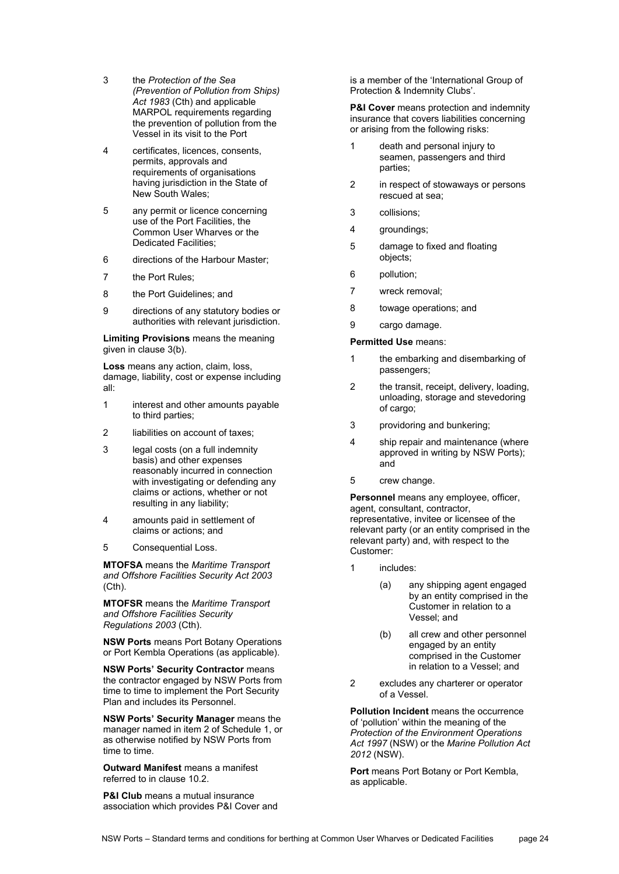- 3 the *Protection of the Sea (Prevention of Pollution from Ships) Act 1983* (Cth) and applicable MARPOL requirements regarding the prevention of pollution from the Vessel in its visit to the Port
- 4 certificates, licences, consents, permits, approvals and requirements of organisations having jurisdiction in the State of New South Wales;
- 5 any permit or licence concerning use of the Port Facilities, the Common User Wharves or the Dedicated Facilities;
- 6 directions of the Harbour Master;
- 7 the Port Rules;
- 8 the Port Guidelines; and
- 9 directions of any statutory bodies or authorities with relevant jurisdiction.

**Limiting Provisions** means the meaning given in clause [3\(b\).](#page-0-0) 

**Loss** means any action, claim, loss, damage, liability, cost or expense including all:

- 1 interest and other amounts payable to third parties;
- 2 liabilities on account of taxes;
- 3 legal costs (on a full indemnity basis) and other expenses reasonably incurred in connection with investigating or defending any claims or actions, whether or not resulting in any liability;
- 4 amounts paid in settlement of claims or actions; and
- 5 Consequential Loss.

**MTOFSA** means the *Maritime Transport and Offshore Facilities Security Act 2003*  (Cth).

**MTOFSR** means the *Maritime Transport and Offshore Facilities Security Regulations 2003* (Cth).

**NSW Ports** means Port Botany Operations or Port Kembla Operations (as applicable).

**NSW Ports' Security Contractor** means the contractor engaged by NSW Ports from time to time to implement the Port Security Plan and includes its Personnel.

**NSW Ports' Security Manager** means the manager named in item 2 of [Schedule 1,](#page-20-0) or as otherwise notified by NSW Ports from time to time.

**Outward Manifest** means a manifest referred to in clause [10.2.](#page-8-7)

**P&I Club** means a mutual insurance association which provides P&I Cover and is a member of the 'International Group of Protection & Indemnity Clubs'.

**P&I Cover** means protection and indemnity insurance that covers liabilities concerning or arising from the following risks:

- 1 death and personal injury to seamen, passengers and third parties;
- 2 in respect of stowaways or persons rescued at sea;
- 3 collisions;
- 4 groundings;
- 5 damage to fixed and floating objects;
- 6 pollution;
- 7 wreck removal;
- 8 towage operations; and
- 9 cargo damage.

# **Permitted Use** means:

- 1 the embarking and disembarking of passengers;
- 2 the transit, receipt, delivery, loading, unloading, storage and stevedoring of cargo;
- 3 providoring and bunkering;
- 4 ship repair and maintenance (where approved in writing by NSW Ports); and
- 5 crew change.

**Personnel** means any employee, officer, agent, consultant, contractor, representative, invitee or licensee of the relevant party (or an entity comprised in the relevant party) and, with respect to the Customer:

- 1 includes:
	- (a) any shipping agent engaged by an entity comprised in the Customer in relation to a Vessel; and
	- (b) all crew and other personnel engaged by an entity comprised in the Customer in relation to a Vessel; and
- 2 excludes any charterer or operator of a Vessel.

**Pollution Incident** means the occurrence of 'pollution' within the meaning of the *Protection of the Environment Operations Act 1997* (NSW) or the *Marine Pollution Act 2012* (NSW).

**Port** means Port Botany or Port Kembla, as applicable.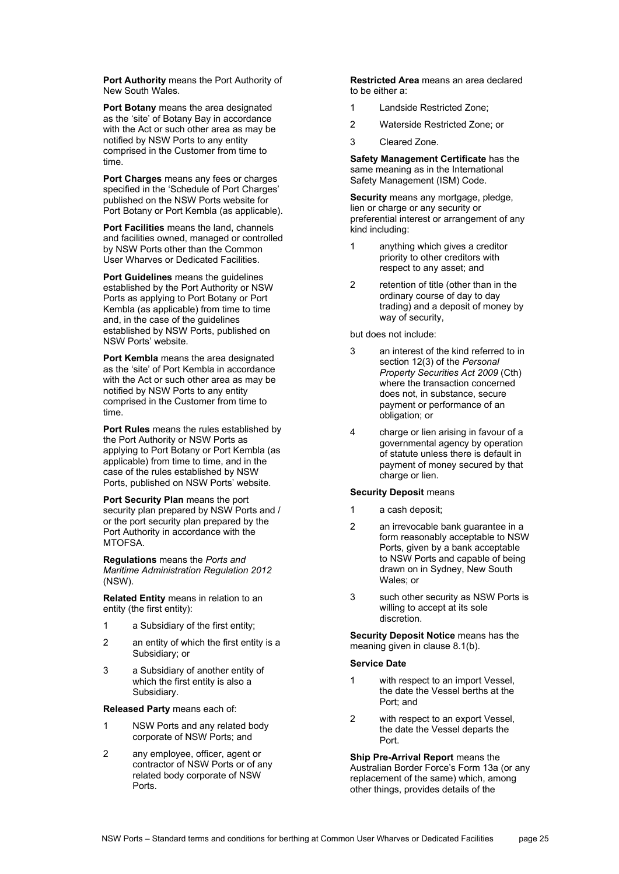**Port Authority** means the Port Authority of New South Wales.

**Port Botany** means the area designated as the 'site' of Botany Bay in accordance with the Act or such other area as may be notified by NSW Ports to any entity comprised in the Customer from time to time.

**Port Charges** means any fees or charges specified in the 'Schedule of Port Charges' published on the NSW Ports website for Port Botany or Port Kembla (as applicable).

**Port Facilities** means the land, channels and facilities owned, managed or controlled by NSW Ports other than the Common User Wharves or Dedicated Facilities.

**Port Guidelines** means the guidelines established by the Port Authority or NSW Ports as applying to Port Botany or Port Kembla (as applicable) from time to time and, in the case of the guidelines established by NSW Ports, published on NSW Ports' website.

**Port Kembla** means the area designated as the 'site' of Port Kembla in accordance with the Act or such other area as may be notified by NSW Ports to any entity comprised in the Customer from time to time.

**Port Rules** means the rules established by the Port Authority or NSW Ports as applying to Port Botany or Port Kembla (as applicable) from time to time, and in the case of the rules established by NSW Ports, published on NSW Ports' website.

**Port Security Plan** means the port security plan prepared by NSW Ports and / or the port security plan prepared by the Port Authority in accordance with the MTOFSA.

**Regulations** means the *Ports and Maritime Administration Regulation 2012* (NSW).

**Related Entity** means in relation to an entity (the first entity):

- 1 a Subsidiary of the first entity;
- 2 an entity of which the first entity is a Subsidiary; or
- 3 a Subsidiary of another entity of which the first entity is also a Subsidiary.

**Released Party** means each of:

- 1 NSW Ports and any related body corporate of NSW Ports; and
- 2 any employee, officer, agent or contractor of NSW Ports or of any related body corporate of NSW Ports.

**Restricted Area** means an area declared to be either a:

- 1 Landside Restricted Zone;
- 2 Waterside Restricted Zone; or
- 3 Cleared Zone.

**Safety Management Certificate** has the same meaning as in the International Safety Management (ISM) Code.

**Security** means any mortgage, pledge, lien or charge or any security or preferential interest or arrangement of any kind including:

- 1 anything which gives a creditor priority to other creditors with respect to any asset; and
- 2 retention of title (other than in the ordinary course of day to day trading) and a deposit of money by way of security,

but does not include:

- 3 an interest of the kind referred to in section 12(3) of the *Personal Property Securities Act 2009* (Cth) where the transaction concerned does not, in substance, secure payment or performance of an obligation; or
- 4 charge or lien arising in favour of a governmental agency by operation of statute unless there is default in payment of money secured by that charge or lien.

#### **Security Deposit** means

- 1 a cash deposit;
- 2 an irrevocable bank guarantee in a form reasonably acceptable to NSW Ports, given by a bank acceptable to NSW Ports and capable of being drawn on in Sydney, New South Wales; or
- 3 such other security as NSW Ports is willing to accept at its sole discretion.

**Security Deposit Notice** means has the meaning given in clause [8.1\(b\).](#page-5-1) 

### **Service Date**

- 1 with respect to an import Vessel, the date the Vessel berths at the Port; and
- 2 with respect to an export Vessel, the date the Vessel departs the Port.

**Ship Pre-Arrival Report** means the Australian Border Force's Form 13a (or any replacement of the same) which, among other things, provides details of the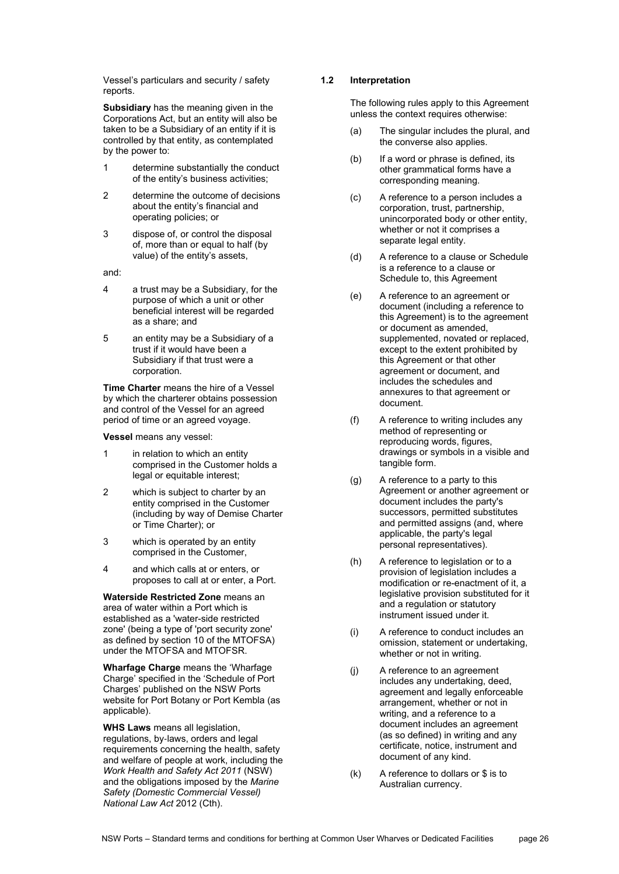Vessel's particulars and security / safety reports.

**Subsidiary** has the meaning given in the Corporations Act, but an entity will also be taken to be a Subsidiary of an entity if it is controlled by that entity, as contemplated by the power to:

- 1 determine substantially the conduct of the entity's business activities;
- 2 determine the outcome of decisions about the entity's financial and operating policies; or
- 3 dispose of, or control the disposal of, more than or equal to half (by value) of the entity's assets,

and:

- 4 a trust may be a Subsidiary, for the purpose of which a unit or other beneficial interest will be regarded as a share; and
- 5 an entity may be a Subsidiary of a trust if it would have been a Subsidiary if that trust were a corporation.

**Time Charter** means the hire of a Vessel by which the charterer obtains possession and control of the Vessel for an agreed period of time or an agreed voyage.

**Vessel** means any vessel:

- 1 in relation to which an entity comprised in the Customer holds a legal or equitable interest;
- 2 which is subject to charter by an entity comprised in the Customer (including by way of Demise Charter or Time Charter); or
- 3 which is operated by an entity comprised in the Customer,
- 4 and which calls at or enters, or proposes to call at or enter, a Port.

**Waterside Restricted Zone** means an area of water within a Port which is established as a 'water-side restricted zone' (being a type of 'port security zone' as defined by section 10 of the MTOFSA) under the MTOFSA and MTOFSR.

**Wharfage Charge** means the 'Wharfage Charge' specified in the 'Schedule of Port Charges' published on the NSW Ports website for Port Botany or Port Kembla (as applicable).

**WHS Laws** means all legislation, regulations, by‐laws, orders and legal requirements concerning the health, safety and welfare of people at work, including the *Work Health and Safety Act 2011* (NSW) and the obligations imposed by the *Marine Safety (Domestic Commercial Vessel) National Law Act* 2012 (Cth).

# **1.2 Interpretation**

The following rules apply to this Agreement unless the context requires otherwise:

- (a) The singular includes the plural, and the converse also applies.
- (b) If a word or phrase is defined, its other grammatical forms have a corresponding meaning.
- (c) A reference to a person includes a corporation, trust, partnership, unincorporated body or other entity, whether or not it comprises a separate legal entity.
- (d) A reference to a clause or Schedule is a reference to a clause or Schedule to, this Agreement
- (e) A reference to an agreement or document (including a reference to this Agreement) is to the agreement or document as amended, supplemented, novated or replaced. except to the extent prohibited by this Agreement or that other agreement or document, and includes the schedules and annexures to that agreement or document.
- (f) A reference to writing includes any method of representing or reproducing words, figures, drawings or symbols in a visible and tangible form.
- (g) A reference to a party to this Agreement or another agreement or document includes the party's successors, permitted substitutes and permitted assigns (and, where applicable, the party's legal personal representatives).
- (h) A reference to legislation or to a provision of legislation includes a modification or re-enactment of it, a legislative provision substituted for it and a regulation or statutory instrument issued under it.
- (i) A reference to conduct includes an omission, statement or undertaking, whether or not in writing.
- (j) A reference to an agreement includes any undertaking, deed, agreement and legally enforceable arrangement, whether or not in writing, and a reference to a document includes an agreement (as so defined) in writing and any certificate, notice, instrument and document of any kind.
- (k) A reference to dollars or \$ is to Australian currency.